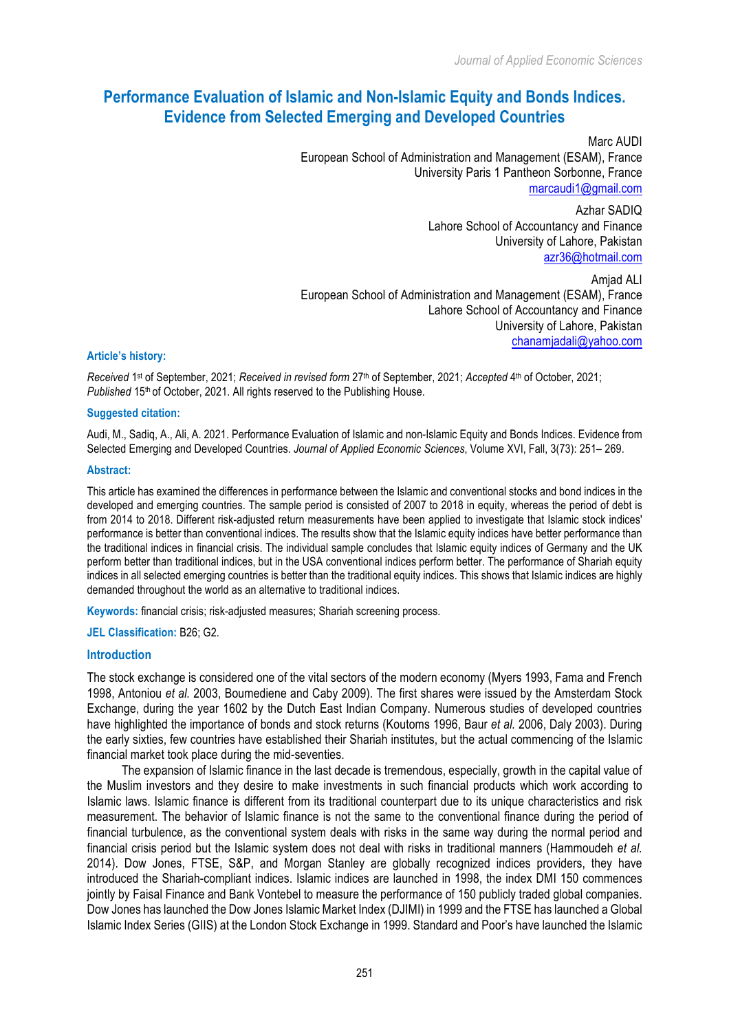# **Performance Evaluation of Islamic and Non-Islamic Equity and Bonds Indices. Evidence from Selected Emerging and Developed Countries**

Marc AUDI European School of Administration and Management (ESAM), France University Paris 1 Pantheon Sorbonne, France marcaudi1@gmail.com

> Azhar SADIQ Lahore School of Accountancy and Finance University of Lahore, Pakistan azr36@hotmail.com

Amjad ALI European School of Administration and Management (ESAM), France Lahore School of Accountancy and Finance University of Lahore, Pakistan chanamjadali@yahoo.com

### **Article's history:**

*Received* 1st of September, 2021; *Received in revised form* 27th of September, 2021; *Accepted* 4th of October, 2021; *Published* 15<sup>th</sup> of October, 2021. All rights reserved to the Publishing House.

### **Suggested citation:**

Audi, M., Sadiq, A., Ali, A. 2021. Performance Evaluation of Islamic and non-Islamic Equity and Bonds Indices. Evidence from Selected Emerging and Developed Countries. *Journal of Applied Economic Sciences*, Volume XVI, Fall, 3(73): 251– 269.

### **Abstract:**

This article has examined the differences in performance between the Islamic and conventional stocks and bond indices in the developed and emerging countries. The sample period is consisted of 2007 to 2018 in equity, whereas the period of debt is from 2014 to 2018. Different risk-adjusted return measurements have been applied to investigate that Islamic stock indices' performance is better than conventional indices. The results show that the Islamic equity indices have better performance than the traditional indices in financial crisis. The individual sample concludes that Islamic equity indices of Germany and the UK perform better than traditional indices, but in the USA conventional indices perform better. The performance of Shariah equity indices in all selected emerging countries is better than the traditional equity indices. This shows that Islamic indices are highly demanded throughout the world as an alternative to traditional indices.

**Keywords:** financial crisis; risk-adjusted measures; Shariah screening process.

### **JEL Classification:** B26; G2.

### **Introduction**

The stock exchange is considered one of the vital sectors of the modern economy (Myers 1993, Fama and French 1998, Antoniou *et al.* 2003, Boumediene and Caby 2009). The first shares were issued by the Amsterdam Stock Exchange, during the year 1602 by the Dutch East Indian Company. Numerous studies of developed countries have highlighted the importance of bonds and stock returns (Koutoms 1996, Baur *et al.* 2006, Daly 2003). During the early sixties, few countries have established their Shariah institutes, but the actual commencing of the Islamic financial market took place during the mid-seventies.

The expansion of Islamic finance in the last decade is tremendous, especially, growth in the capital value of the Muslim investors and they desire to make investments in such financial products which work according to Islamic laws. Islamic finance is different from its traditional counterpart due to its unique characteristics and risk measurement. The behavior of Islamic finance is not the same to the conventional finance during the period of financial turbulence, as the conventional system deals with risks in the same way during the normal period and financial crisis period but the Islamic system does not deal with risks in traditional manners (Hammoudeh *et al.* 2014). Dow Jones, FTSE, S&P, and Morgan Stanley are globally recognized indices providers, they have introduced the Shariah-compliant indices. Islamic indices are launched in 1998, the index DMI 150 commences jointly by Faisal Finance and Bank Vontebel to measure the performance of 150 publicly traded global companies. Dow Jones has launched the Dow Jones Islamic Market Index (DJIMI) in 1999 and the FTSE has launched a Global Islamic Index Series (GIIS) at the London Stock Exchange in 1999. Standard and Poor's have launched the Islamic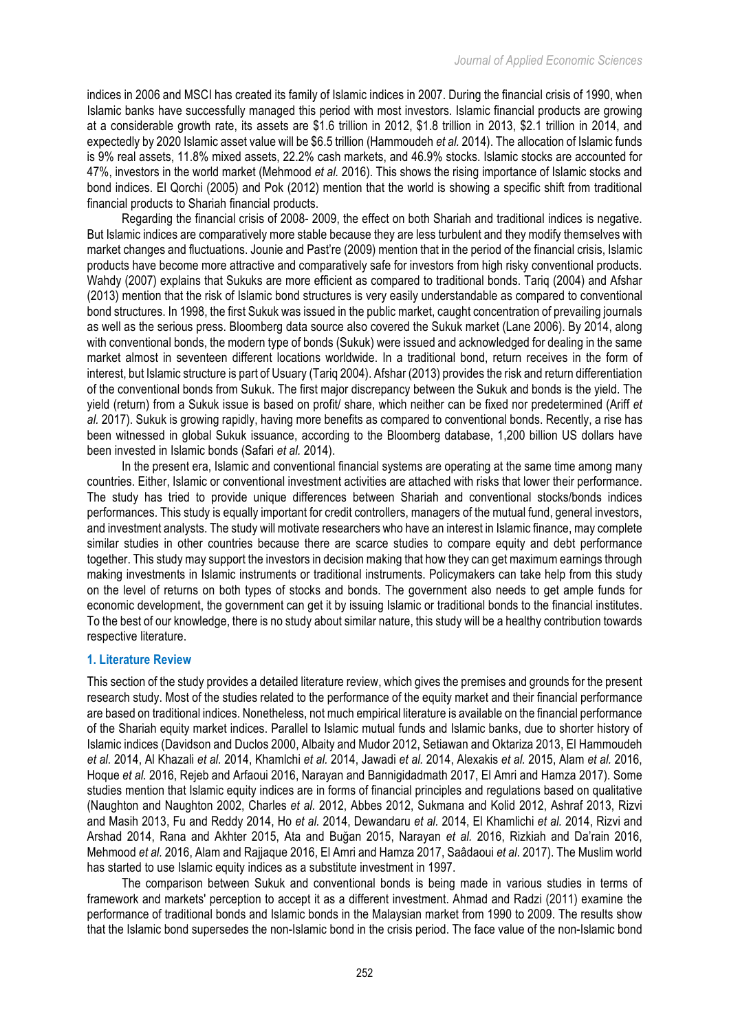indices in 2006 and MSCI has created its family of Islamic indices in 2007. During the financial crisis of 1990, when Islamic banks have successfully managed this period with most investors. Islamic financial products are growing at a considerable growth rate, its assets are \$1.6 trillion in 2012, \$1.8 trillion in 2013, \$2.1 trillion in 2014, and expectedly by 2020 Islamic asset value will be \$6.5 trillion (Hammoudeh *et al.* 2014). The allocation of Islamic funds is 9% real assets, 11.8% mixed assets, 22.2% cash markets, and 46.9% stocks. Islamic stocks are accounted for 47%, investors in the world market (Mehmood *et al.* 2016). This shows the rising importance of Islamic stocks and bond indices. El Qorchi (2005) and Pok (2012) mention that the world is showing a specific shift from traditional financial products to Shariah financial products.

Regarding the financial crisis of 2008- 2009, the effect on both Shariah and traditional indices is negative. But Islamic indices are comparatively more stable because they are less turbulent and they modify themselves with market changes and fluctuations. Jounie and Past're (2009) mention that in the period of the financial crisis, Islamic products have become more attractive and comparatively safe for investors from high risky conventional products. Wahdy (2007) explains that Sukuks are more efficient as compared to traditional bonds. Tariq (2004) and Afshar (2013) mention that the risk of Islamic bond structures is very easily understandable as compared to conventional bond structures. In 1998, the first Sukuk was issued in the public market, caught concentration of prevailing journals as well as the serious press. Bloomberg data source also covered the Sukuk market (Lane 2006). By 2014, along with conventional bonds, the modern type of bonds (Sukuk) were issued and acknowledged for dealing in the same market almost in seventeen different locations worldwide. In a traditional bond, return receives in the form of interest, but Islamic structure is part of Usuary (Tariq 2004). Afshar (2013) provides the risk and return differentiation of the conventional bonds from Sukuk. The first major discrepancy between the Sukuk and bonds is the yield. The yield (return) from a Sukuk issue is based on profit/ share, which neither can be fixed nor predetermined (Ariff *et al.* 2017). Sukuk is growing rapidly, having more benefits as compared to conventional bonds. Recently, a rise has been witnessed in global Sukuk issuance, according to the Bloomberg database, 1,200 billion US dollars have been invested in Islamic bonds (Safari *et al.* 2014).

In the present era, Islamic and conventional financial systems are operating at the same time among many countries. Either, Islamic or conventional investment activities are attached with risks that lower their performance. The study has tried to provide unique differences between Shariah and conventional stocks/bonds indices performances. This study is equally important for credit controllers, managers of the mutual fund, general investors, and investment analysts. The study will motivate researchers who have an interest in Islamic finance, may complete similar studies in other countries because there are scarce studies to compare equity and debt performance together. This study may support the investors in decision making that how they can get maximum earnings through making investments in Islamic instruments or traditional instruments. Policymakers can take help from this study on the level of returns on both types of stocks and bonds. The government also needs to get ample funds for economic development, the government can get it by issuing Islamic or traditional bonds to the financial institutes. To the best of our knowledge, there is no study about similar nature, this study will be a healthy contribution towards respective literature.

# **1. Literature Review**

This section of the study provides a detailed literature review, which gives the premises and grounds for the present research study. Most of the studies related to the performance of the equity market and their financial performance are based on traditional indices. Nonetheless, not much empirical literature is available on the financial performance of the Shariah equity market indices. Parallel to Islamic mutual funds and Islamic banks, due to shorter history of Islamic indices (Davidson and Duclos 2000, Albaity and Mudor 2012, Setiawan and Oktariza 2013, El Hammoudeh *et al.* 2014, Al Khazali *et al.* 2014, Khamlchi *et al.* 2014, Jawadi *et al.* 2014, Alexakis *et al.* 2015, Alam *et al.* 2016, Hoque *et al.* 2016, Rejeb and Arfaoui 2016, Narayan and Bannigidadmath 2017, El Amri and Hamza 2017). Some studies mention that Islamic equity indices are in forms of financial principles and regulations based on qualitative (Naughton and Naughton 2002, Charles *et al.* 2012, Abbes 2012, Sukmana and Kolid 2012, Ashraf 2013, Rizvi and Masih 2013, Fu and Reddy 2014, Ho *et al.* 2014, Dewandaru *et al.* 2014, El Khamlichi *et al.* 2014, Rizvi and Arshad 2014, Rana and Akhter 2015, Ata and Buğan 2015, Narayan *et al.* 2016, Rizkiah and Da'rain 2016, Mehmood *et al.* 2016, Alam and Rajjaque 2016, El Amri and Hamza 2017, Saâdaoui *et al*. 2017). The Muslim world has started to use Islamic equity indices as a substitute investment in 1997.

The comparison between Sukuk and conventional bonds is being made in various studies in terms of framework and markets' perception to accept it as a different investment. Ahmad and Radzi (2011) examine the performance of traditional bonds and Islamic bonds in the Malaysian market from 1990 to 2009. The results show that the Islamic bond supersedes the non-Islamic bond in the crisis period. The face value of the non-Islamic bond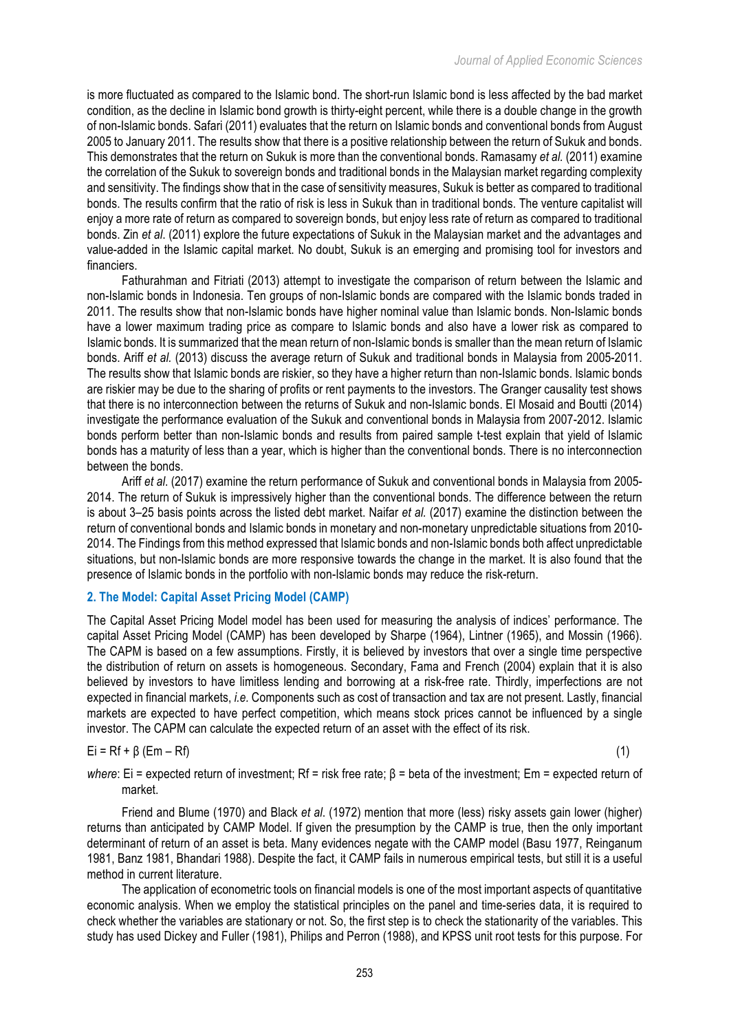is more fluctuated as compared to the Islamic bond. The short-run Islamic bond is less affected by the bad market condition, as the decline in Islamic bond growth is thirty-eight percent, while there is a double change in the growth of non-Islamic bonds. Safari (2011) evaluates that the return on Islamic bonds and conventional bonds from August 2005 to January 2011. The results show that there is a positive relationship between the return of Sukuk and bonds. This demonstrates that the return on Sukuk is more than the conventional bonds. Ramasamy *et al.* (2011) examine the correlation of the Sukuk to sovereign bonds and traditional bonds in the Malaysian market regarding complexity and sensitivity. The findings show that in the case of sensitivity measures, Sukuk is better as compared to traditional bonds. The results confirm that the ratio of risk is less in Sukuk than in traditional bonds. The venture capitalist will enjoy a more rate of return as compared to sovereign bonds, but enjoy less rate of return as compared to traditional bonds. Zin *et al*. (2011) explore the future expectations of Sukuk in the Malaysian market and the advantages and value-added in the Islamic capital market. No doubt, Sukuk is an emerging and promising tool for investors and financiers.

Fathurahman and Fitriati (2013) attempt to investigate the comparison of return between the Islamic and non-Islamic bonds in Indonesia. Ten groups of non-Islamic bonds are compared with the Islamic bonds traded in 2011. The results show that non-Islamic bonds have higher nominal value than Islamic bonds. Non-Islamic bonds have a lower maximum trading price as compare to Islamic bonds and also have a lower risk as compared to Islamic bonds. It is summarized that the mean return of non-Islamic bonds is smaller than the mean return of Islamic bonds. Ariff *et al.* (2013) discuss the average return of Sukuk and traditional bonds in Malaysia from 2005-2011. The results show that Islamic bonds are riskier, so they have a higher return than non-Islamic bonds. Islamic bonds are riskier may be due to the sharing of profits or rent payments to the investors. The Granger causality test shows that there is no interconnection between the returns of Sukuk and non-Islamic bonds. El Mosaid and Boutti (2014) investigate the performance evaluation of the Sukuk and conventional bonds in Malaysia from 2007-2012. Islamic bonds perform better than non-Islamic bonds and results from paired sample t-test explain that yield of Islamic bonds has a maturity of less than a year, which is higher than the conventional bonds. There is no interconnection between the bonds.

Ariff *et al*. (2017) examine the return performance of Sukuk and conventional bonds in Malaysia from 2005- 2014. The return of Sukuk is impressively higher than the conventional bonds. The difference between the return is about 3–25 basis points across the listed debt market. Naifar *et al.* (2017) examine the distinction between the return of conventional bonds and Islamic bonds in monetary and non-monetary unpredictable situations from 2010- 2014. The Findings from this method expressed that Islamic bonds and non-Islamic bonds both affect unpredictable situations, but non-Islamic bonds are more responsive towards the change in the market. It is also found that the presence of Islamic bonds in the portfolio with non-Islamic bonds may reduce the risk-return.

# **2. The Model: Capital Asset Pricing Model (CAMP)**

The Capital Asset Pricing Model model has been used for measuring the analysis of indices' performance. The capital Asset Pricing Model (CAMP) has been developed by Sharpe (1964), Lintner (1965), and Mossin (1966). The CAPM is based on a few assumptions. Firstly, it is believed by investors that over a single time perspective the distribution of return on assets is homogeneous. Secondary, Fama and French (2004) explain that it is also believed by investors to have limitless lending and borrowing at a risk-free rate. Thirdly, imperfections are not expected in financial markets, *i.e.* Components such as cost of transaction and tax are not present. Lastly, financial markets are expected to have perfect competition, which means stock prices cannot be influenced by a single investor. The CAPM can calculate the expected return of an asset with the effect of its risk.

# $E_i = Rf + \beta (Em - Rf)$  (1)

*where*: Ei = expected return of investment; Rf = risk free rate; β = beta of the investment; Em = expected return of market.

Friend and Blume (1970) and Black *et al*. (1972) mention that more (less) risky assets gain lower (higher) returns than anticipated by CAMP Model. If given the presumption by the CAMP is true, then the only important determinant of return of an asset is beta. Many evidences negate with the CAMP model (Basu 1977, Reinganum 1981, Banz 1981, Bhandari 1988). Despite the fact, it CAMP fails in numerous empirical tests, but still it is a useful method in current literature.

The application of econometric tools on financial models is one of the most important aspects of quantitative economic analysis. When we employ the statistical principles on the panel and time-series data, it is required to check whether the variables are stationary or not. So, the first step is to check the stationarity of the variables. This study has used Dickey and Fuller (1981), Philips and Perron (1988), and KPSS unit root tests for this purpose. For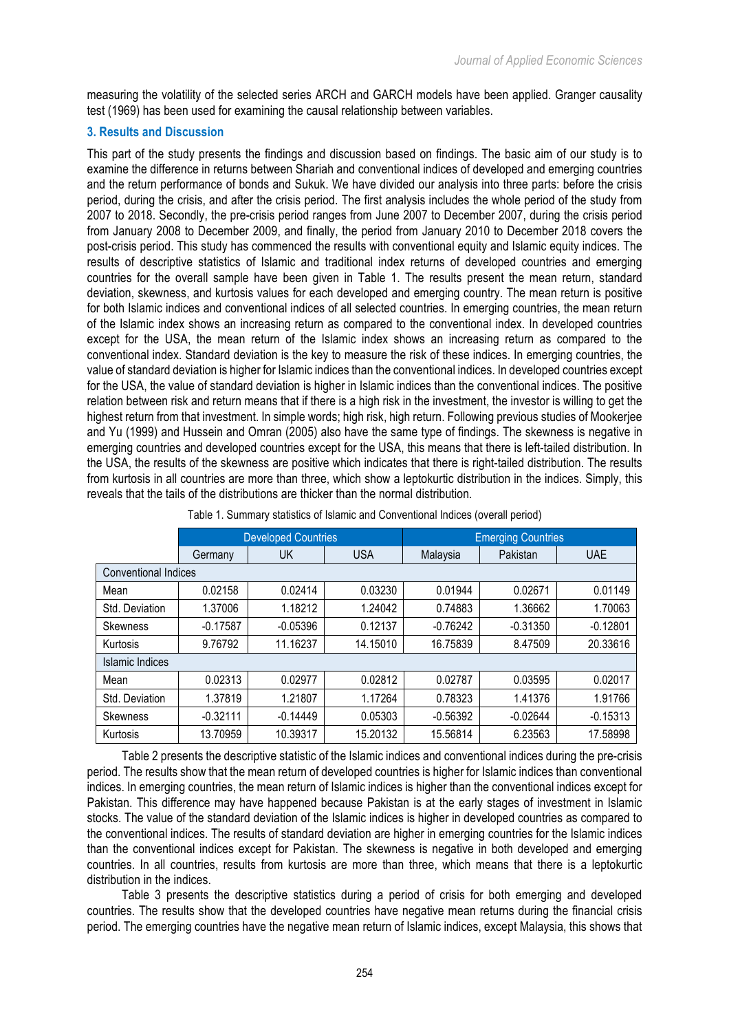measuring the volatility of the selected series ARCH and GARCH models have been applied. Granger causality test (1969) has been used for examining the causal relationship between variables.

# **3. Results and Discussion**

This part of the study presents the findings and discussion based on findings. The basic aim of our study is to examine the difference in returns between Shariah and conventional indices of developed and emerging countries and the return performance of bonds and Sukuk. We have divided our analysis into three parts: before the crisis period, during the crisis, and after the crisis period. The first analysis includes the whole period of the study from 2007 to 2018. Secondly, the pre-crisis period ranges from June 2007 to December 2007, during the crisis period from January 2008 to December 2009, and finally, the period from January 2010 to December 2018 covers the post-crisis period. This study has commenced the results with conventional equity and Islamic equity indices. The results of descriptive statistics of Islamic and traditional index returns of developed countries and emerging countries for the overall sample have been given in Table 1. The results present the mean return, standard deviation, skewness, and kurtosis values for each developed and emerging country. The mean return is positive for both Islamic indices and conventional indices of all selected countries. In emerging countries, the mean return of the Islamic index shows an increasing return as compared to the conventional index. In developed countries except for the USA, the mean return of the Islamic index shows an increasing return as compared to the conventional index. Standard deviation is the key to measure the risk of these indices. In emerging countries, the value of standard deviation is higher for Islamic indices than the conventional indices. In developed countries except for the USA, the value of standard deviation is higher in Islamic indices than the conventional indices. The positive relation between risk and return means that if there is a high risk in the investment, the investor is willing to get the highest return from that investment. In simple words; high risk, high return. Following previous studies of Mookerjee and Yu (1999) and Hussein and Omran (2005) also have the same type of findings. The skewness is negative in emerging countries and developed countries except for the USA, this means that there is left-tailed distribution. In the USA, the results of the skewness are positive which indicates that there is right-tailed distribution. The results from kurtosis in all countries are more than three, which show a leptokurtic distribution in the indices. Simply, this reveals that the tails of the distributions are thicker than the normal distribution.

|                             |            | <b>Developed Countries</b> |            | <b>Emerging Countries</b> |            |            |
|-----------------------------|------------|----------------------------|------------|---------------------------|------------|------------|
|                             | Germany    | <b>UK</b>                  | <b>USA</b> | Malaysia                  | Pakistan   | <b>UAE</b> |
| <b>Conventional Indices</b> |            |                            |            |                           |            |            |
| Mean                        | 0.02158    | 0.02414                    | 0.03230    | 0.01944                   | 0.02671    | 0.01149    |
| Std. Deviation              | 1.37006    | 1.18212                    | 1.24042    | 0.74883                   | 1.36662    | 1.70063    |
| <b>Skewness</b>             | $-0.17587$ | $-0.05396$                 | 0.12137    | $-0.76242$                | $-0.31350$ | $-0.12801$ |
| Kurtosis                    | 9.76792    | 11.16237                   | 14.15010   | 16.75839                  | 8.47509    | 20.33616   |
| Islamic Indices             |            |                            |            |                           |            |            |
| Mean                        | 0.02313    | 0.02977                    | 0.02812    | 0.02787                   | 0.03595    | 0.02017    |
| Std. Deviation              | 1.37819    | 1.21807                    | 1.17264    | 0.78323                   | 1.41376    | 1.91766    |
| Skewness                    | $-0.32111$ | $-0.14449$                 | 0.05303    | $-0.56392$                | $-0.02644$ | $-0.15313$ |
| Kurtosis                    | 13.70959   | 10.39317                   | 15.20132   | 15.56814                  | 6.23563    | 17.58998   |

Table 1. Summary statistics of Islamic and Conventional Indices (overall period)

Table 2 presents the descriptive statistic of the Islamic indices and conventional indices during the pre-crisis period. The results show that the mean return of developed countries is higher for Islamic indices than conventional indices. In emerging countries, the mean return of Islamic indices is higher than the conventional indices except for Pakistan. This difference may have happened because Pakistan is at the early stages of investment in Islamic stocks. The value of the standard deviation of the Islamic indices is higher in developed countries as compared to the conventional indices. The results of standard deviation are higher in emerging countries for the Islamic indices than the conventional indices except for Pakistan. The skewness is negative in both developed and emerging countries. In all countries, results from kurtosis are more than three, which means that there is a leptokurtic distribution in the indices.

Table 3 presents the descriptive statistics during a period of crisis for both emerging and developed countries. The results show that the developed countries have negative mean returns during the financial crisis period. The emerging countries have the negative mean return of Islamic indices, except Malaysia, this shows that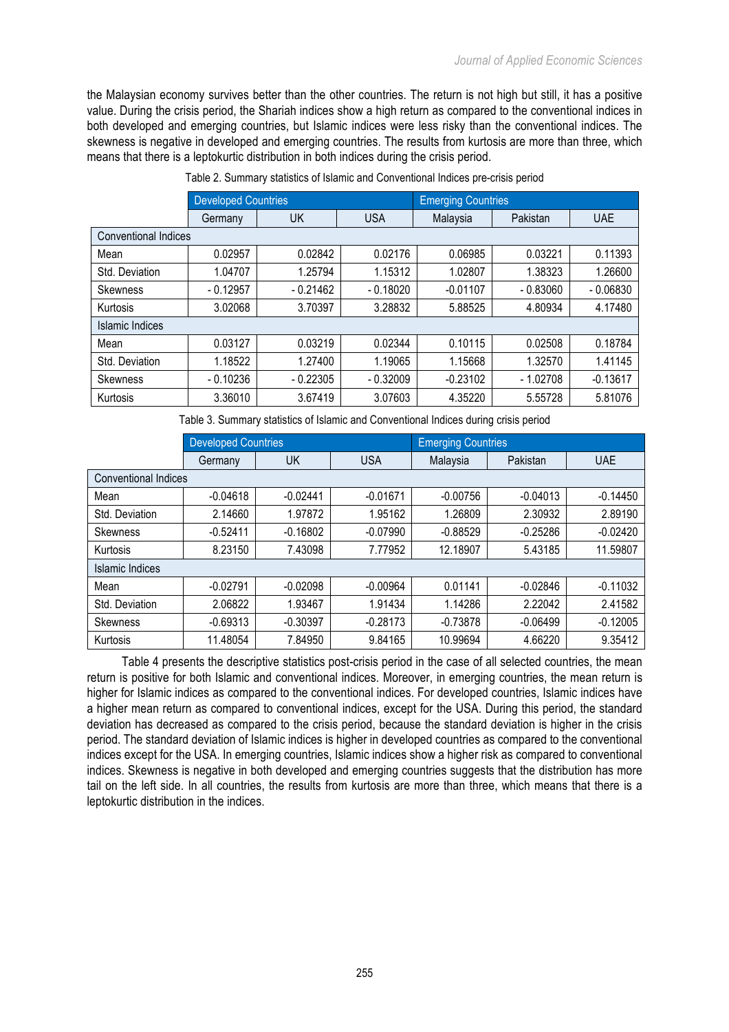the Malaysian economy survives better than the other countries. The return is not high but still, it has a positive value. During the crisis period, the Shariah indices show a high return as compared to the conventional indices in both developed and emerging countries, but Islamic indices were less risky than the conventional indices. The skewness is negative in developed and emerging countries. The results from kurtosis are more than three, which means that there is a leptokurtic distribution in both indices during the crisis period.

|                             | <b>Developed Countries</b> |            |            | <b>Emerging Countries</b> |            |            |  |
|-----------------------------|----------------------------|------------|------------|---------------------------|------------|------------|--|
|                             | Germany                    | UK         | <b>USA</b> | Malaysia                  | Pakistan   | <b>UAE</b> |  |
| <b>Conventional Indices</b> |                            |            |            |                           |            |            |  |
| Mean                        | 0.02957                    | 0.02842    | 0.02176    | 0.06985                   | 0.03221    | 0.11393    |  |
| Std. Deviation              | 1.04707                    | 1.25794    | 1.15312    | 1.02807                   | 1.38323    | 1.26600    |  |
| <b>Skewness</b>             | $-0.12957$                 | $-0.21462$ | $-0.18020$ | $-0.01107$                | $-0.83060$ | $-0.06830$ |  |
| Kurtosis                    | 3.02068                    | 3.70397    | 3.28832    | 5.88525                   | 4.80934    | 4.17480    |  |
| Islamic Indices             |                            |            |            |                           |            |            |  |
| Mean                        | 0.03127                    | 0.03219    | 0.02344    | 0.10115                   | 0.02508    | 0.18784    |  |
| Std. Deviation              | 1.18522                    | 1.27400    | 1.19065    | 1.15668                   | 1.32570    | 1.41145    |  |
| Skewness                    | $-0.10236$                 | $-0.22305$ | $-0.32009$ | $-0.23102$                | $-1.02708$ | $-0.13617$ |  |
| Kurtosis                    | 3.36010                    | 3.67419    | 3.07603    | 4.35220                   | 5.55728    | 5.81076    |  |

Table 2. Summary statistics of Islamic and Conventional Indices pre-crisis period

Table 3. Summary statistics of Islamic and Conventional Indices during crisis period

|                             | <b>Developed Countries</b> |            |            | <b>Emerging Countries</b> |            |            |
|-----------------------------|----------------------------|------------|------------|---------------------------|------------|------------|
|                             | Germany                    | UK         | <b>USA</b> | Malaysia                  | Pakistan   | <b>UAE</b> |
| <b>Conventional Indices</b> |                            |            |            |                           |            |            |
| Mean                        | $-0.04618$                 | $-0.02441$ | $-0.01671$ | $-0.00756$                | $-0.04013$ | $-0.14450$ |
| Std. Deviation              | 2.14660                    | 1.97872    | 1.95162    | 1.26809                   | 2.30932    | 2.89190    |
| <b>Skewness</b>             | $-0.52411$                 | $-0.16802$ | $-0.07990$ | $-0.88529$                | $-0.25286$ | $-0.02420$ |
| Kurtosis                    | 8.23150                    | 7.43098    | 7.77952    | 12.18907                  | 5.43185    | 11.59807   |
| Islamic Indices             |                            |            |            |                           |            |            |
| Mean                        | $-0.02791$                 | $-0.02098$ | $-0.00964$ | 0.01141                   | $-0.02846$ | $-0.11032$ |
| Std. Deviation              | 2.06822                    | 1.93467    | 1.91434    | 1.14286                   | 2.22042    | 2.41582    |
| <b>Skewness</b>             | $-0.69313$                 | $-0.30397$ | $-0.28173$ | $-0.73878$                | $-0.06499$ | $-0.12005$ |
| Kurtosis                    | 11.48054                   | 7.84950    | 9.84165    | 10.99694                  | 4.66220    | 9.35412    |

Table 4 presents the descriptive statistics post-crisis period in the case of all selected countries, the mean return is positive for both Islamic and conventional indices. Moreover, in emerging countries, the mean return is higher for Islamic indices as compared to the conventional indices. For developed countries, Islamic indices have a higher mean return as compared to conventional indices, except for the USA. During this period, the standard deviation has decreased as compared to the crisis period, because the standard deviation is higher in the crisis period. The standard deviation of Islamic indices is higher in developed countries as compared to the conventional indices except for the USA. In emerging countries, Islamic indices show a higher risk as compared to conventional indices. Skewness is negative in both developed and emerging countries suggests that the distribution has more tail on the left side. In all countries, the results from kurtosis are more than three, which means that there is a leptokurtic distribution in the indices.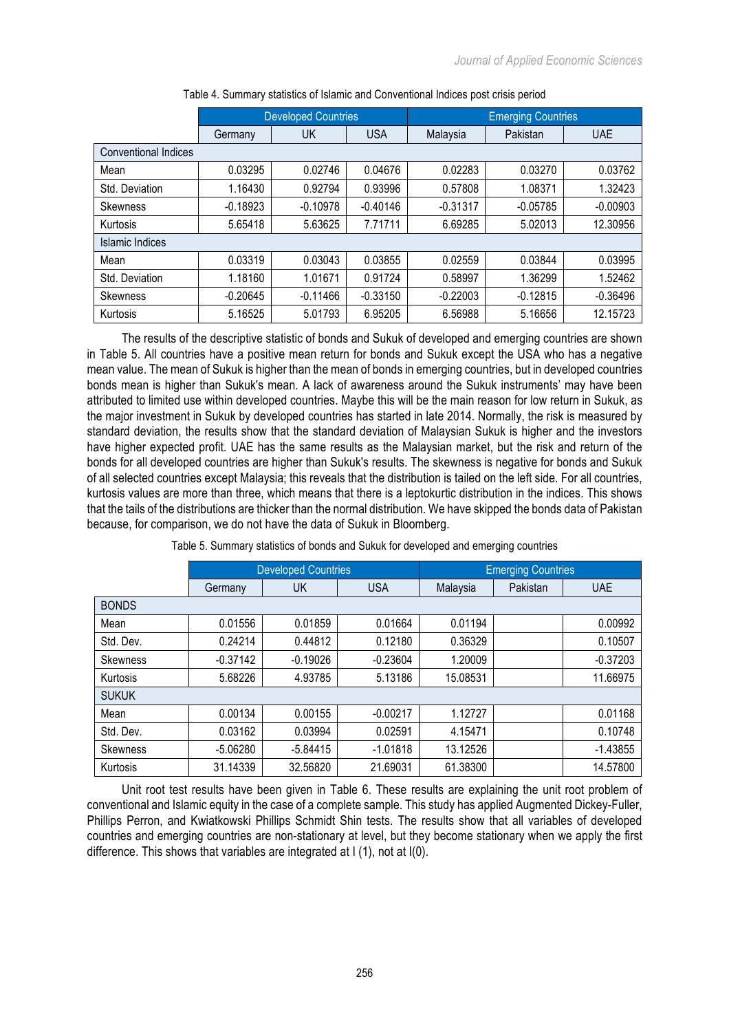|                      |            | <b>Developed Countries</b> |            |            | <b>Emerging Countries</b> |            |
|----------------------|------------|----------------------------|------------|------------|---------------------------|------------|
|                      | Germany    | UK                         | <b>USA</b> | Malaysia   | Pakistan                  | UAE        |
| Conventional Indices |            |                            |            |            |                           |            |
| Mean                 | 0.03295    | 0.02746                    | 0.04676    | 0.02283    | 0.03270                   | 0.03762    |
| Std. Deviation       | 1.16430    | 0.92794                    | 0.93996    | 0.57808    | 1.08371                   | 1.32423    |
| <b>Skewness</b>      | $-0.18923$ | $-0.10978$                 | $-0.40146$ | $-0.31317$ | $-0.05785$                | $-0.00903$ |
| Kurtosis             | 5.65418    | 5.63625                    | 7.71711    | 6.69285    | 5.02013                   | 12.30956   |
| Islamic Indices      |            |                            |            |            |                           |            |
| Mean                 | 0.03319    | 0.03043                    | 0.03855    | 0.02559    | 0.03844                   | 0.03995    |
| Std. Deviation       | 1.18160    | 1.01671                    | 0.91724    | 0.58997    | 1.36299                   | 1.52462    |
| <b>Skewness</b>      | $-0.20645$ | $-0.11466$                 | $-0.33150$ | $-0.22003$ | $-0.12815$                | $-0.36496$ |
| Kurtosis             | 5.16525    | 5.01793                    | 6.95205    | 6.56988    | 5.16656                   | 12.15723   |

Table 4. Summary statistics of Islamic and Conventional Indices post crisis period

The results of the descriptive statistic of bonds and Sukuk of developed and emerging countries are shown in Table 5. All countries have a positive mean return for bonds and Sukuk except the USA who has a negative mean value. The mean of Sukuk is higher than the mean of bonds in emerging countries, but in developed countries bonds mean is higher than Sukuk's mean. A lack of awareness around the Sukuk instruments' may have been attributed to limited use within developed countries. Maybe this will be the main reason for low return in Sukuk, as the major investment in Sukuk by developed countries has started in late 2014. Normally, the risk is measured by standard deviation, the results show that the standard deviation of Malaysian Sukuk is higher and the investors have higher expected profit. UAE has the same results as the Malaysian market, but the risk and return of the bonds for all developed countries are higher than Sukuk's results. The skewness is negative for bonds and Sukuk of all selected countries except Malaysia; this reveals that the distribution is tailed on the left side. For all countries, kurtosis values are more than three, which means that there is a leptokurtic distribution in the indices. This shows that the tails of the distributions are thicker than the normal distribution. We have skipped the bonds data of Pakistan because, for comparison, we do not have the data of Sukuk in Bloomberg.

|                 |            | <b>Developed Countries</b> |            | <b>Emerging Countries</b> |          |            |
|-----------------|------------|----------------------------|------------|---------------------------|----------|------------|
|                 | Germany    | UK                         | <b>USA</b> | Malaysia                  | Pakistan | <b>UAE</b> |
| <b>BONDS</b>    |            |                            |            |                           |          |            |
| Mean            | 0.01556    | 0.01859                    | 0.01664    | 0.01194                   |          | 0.00992    |
| Std. Dev.       | 0.24214    | 0.44812                    | 0.12180    | 0.36329                   |          | 0.10507    |
| <b>Skewness</b> | $-0.37142$ | $-0.19026$                 | $-0.23604$ | 1.20009                   |          | $-0.37203$ |
| Kurtosis        | 5.68226    | 4.93785                    | 5.13186    | 15.08531                  |          | 11.66975   |
| <b>SUKUK</b>    |            |                            |            |                           |          |            |
| Mean            | 0.00134    | 0.00155                    | $-0.00217$ | 1.12727                   |          | 0.01168    |
| Std. Dev.       | 0.03162    | 0.03994                    | 0.02591    | 4.15471                   |          | 0.10748    |
| Skewness        | $-5.06280$ | $-5.84415$                 | $-1.01818$ | 13.12526                  |          | $-1.43855$ |
| Kurtosis        | 31.14339   | 32.56820                   | 21.69031   | 61.38300                  |          | 14.57800   |

Table 5. Summary statistics of bonds and Sukuk for developed and emerging countries

Unit root test results have been given in Table 6. These results are explaining the unit root problem of conventional and Islamic equity in the case of a complete sample. This study has applied Augmented Dickey-Fuller, Phillips Perron, and Kwiatkowski Phillips Schmidt Shin tests. The results show that all variables of developed countries and emerging countries are non-stationary at level, but they become stationary when we apply the first difference. This shows that variables are integrated at I (1), not at I(0).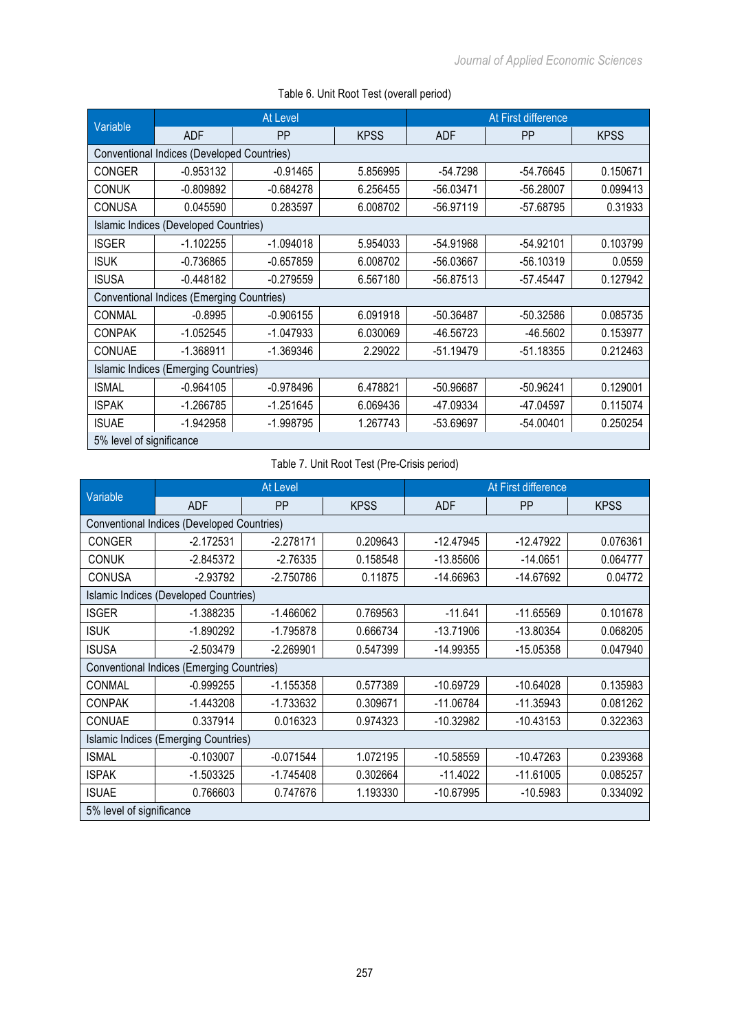|                                            | <b>At Level</b>                           |             |             | At First difference |             |             |  |
|--------------------------------------------|-------------------------------------------|-------------|-------------|---------------------|-------------|-------------|--|
| Variable                                   | <b>ADF</b>                                | PP          | <b>KPSS</b> | <b>ADF</b>          | PP          | <b>KPSS</b> |  |
| Conventional Indices (Developed Countries) |                                           |             |             |                     |             |             |  |
| <b>CONGER</b>                              | $-0.953132$                               | $-0.91465$  | 5.856995    | $-54.7298$          | -54.76645   | 0.150671    |  |
| <b>CONUK</b>                               | $-0.809892$                               | $-0.684278$ | 6.256455    | $-56.03471$         | $-56.28007$ | 0.099413    |  |
| <b>CONUSA</b>                              | 0.045590                                  | 0.283597    | 6.008702    | $-56.97119$         | -57.68795   | 0.31933     |  |
|                                            | Islamic Indices (Developed Countries)     |             |             |                     |             |             |  |
| <b>ISGER</b>                               | $-1.102255$                               | $-1.094018$ | 5.954033    | -54.91968           | $-54.92101$ | 0.103799    |  |
| <b>ISUK</b>                                | $-0.736865$                               | $-0.657859$ | 6.008702    | -56.03667           | $-56.10319$ | 0.0559      |  |
| <b>ISUSA</b>                               | $-0.448182$                               | $-0.279559$ | 6.567180    | $-56.87513$         | $-57.45447$ | 0.127942    |  |
|                                            | Conventional Indices (Emerging Countries) |             |             |                     |             |             |  |
| CONMAL                                     | $-0.8995$                                 | $-0.906155$ | 6.091918    | $-50.36487$         | $-50.32586$ | 0.085735    |  |
| <b>CONPAK</b>                              | $-1.052545$                               | $-1.047933$ | 6.030069    | -46.56723           | $-46.5602$  | 0.153977    |  |
| CONUAE                                     | $-1.368911$                               | $-1.369346$ | 2.29022     | $-51.19479$         | $-51.18355$ | 0.212463    |  |
|                                            | Islamic Indices (Emerging Countries)      |             |             |                     |             |             |  |
| <b>ISMAL</b>                               | $-0.964105$                               | $-0.978496$ | 6.478821    | -50.96687           | $-50.96241$ | 0.129001    |  |
| <b>ISPAK</b>                               | $-1.266785$                               | $-1.251645$ | 6.069436    | -47.09334           | -47.04597   | 0.115074    |  |
| <b>ISUAE</b>                               | $-1.942958$                               | $-1.998795$ | 1.267743    | -53.69697           | $-54.00401$ | 0.250254    |  |
| 5% level of significance                   |                                           |             |             |                     |             |             |  |

# Table 6. Unit Root Test (overall period)

# Table 7. Unit Root Test (Pre-Crisis period)

|                                            |                                           | <b>At Level</b> |             | At First difference |             |             |
|--------------------------------------------|-------------------------------------------|-----------------|-------------|---------------------|-------------|-------------|
| Variable                                   | <b>ADF</b>                                | PP              | <b>KPSS</b> | <b>ADF</b>          | <b>PP</b>   | <b>KPSS</b> |
| Conventional Indices (Developed Countries) |                                           |                 |             |                     |             |             |
| <b>CONGER</b>                              | $-2.172531$                               | $-2.278171$     | 0.209643    | $-12.47945$         | $-12.47922$ | 0.076361    |
| <b>CONUK</b>                               | $-2.845372$                               | $-2.76335$      | 0.158548    | $-13.85606$         | $-14.0651$  | 0.064777    |
| <b>CONUSA</b>                              | $-2.93792$                                | $-2.750786$     | 0.11875     | $-14.66963$         | $-14.67692$ | 0.04772     |
|                                            | Islamic Indices (Developed Countries)     |                 |             |                     |             |             |
| <b>ISGER</b>                               | $-1.388235$                               | $-1.466062$     | 0.769563    | $-11.641$           | $-11.65569$ | 0.101678    |
| <b>ISUK</b>                                | $-1.890292$                               | $-1.795878$     | 0.666734    | $-13.71906$         | $-13.80354$ | 0.068205    |
| <b>ISUSA</b>                               | $-2.503479$                               | $-2.269901$     | 0.547399    | -14.99355           | $-15.05358$ | 0.047940    |
|                                            | Conventional Indices (Emerging Countries) |                 |             |                     |             |             |
| CONMAL                                     | $-0.999255$                               | $-1.155358$     | 0.577389    | $-10.69729$         | $-10.64028$ | 0.135983    |
| <b>CONPAK</b>                              | $-1.443208$                               | $-1.733632$     | 0.309671    | $-11.06784$         | $-11.35943$ | 0.081262    |
| CONUAE                                     | 0.337914                                  | 0.016323        | 0.974323    | $-10.32982$         | $-10.43153$ | 0.322363    |
|                                            | Islamic Indices (Emerging Countries)      |                 |             |                     |             |             |
| <b>ISMAL</b>                               | $-0.103007$                               | $-0.071544$     | 1.072195    | $-10.58559$         | $-10.47263$ | 0.239368    |
| <b>ISPAK</b>                               | $-1.503325$                               | $-1.745408$     | 0.302664    | $-11.4022$          | $-11.61005$ | 0.085257    |
| <b>ISUAE</b>                               | 0.766603                                  | 0.747676        | 1.193330    | $-10.67995$         | $-10.5983$  | 0.334092    |
| 5% level of significance                   |                                           |                 |             |                     |             |             |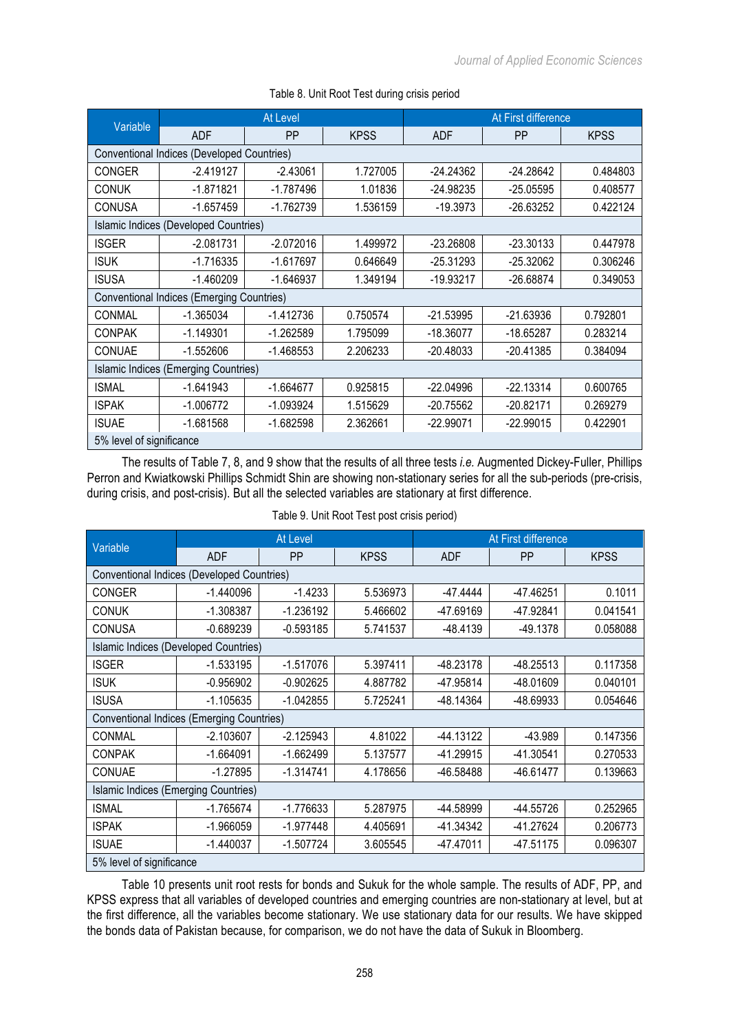|                                            |                                                                      | At Level    |             | At First difference |             |             |
|--------------------------------------------|----------------------------------------------------------------------|-------------|-------------|---------------------|-------------|-------------|
| Variable                                   | <b>ADF</b>                                                           | <b>PP</b>   | <b>KPSS</b> | <b>ADF</b>          | <b>PP</b>   | <b>KPSS</b> |
| Conventional Indices (Developed Countries) |                                                                      |             |             |                     |             |             |
| <b>CONGER</b>                              | $-2.419127$                                                          | $-2.43061$  | 1.727005    | $-24.24362$         | $-24.28642$ | 0.484803    |
| <b>CONUK</b>                               | $-1.871821$                                                          | $-1.787496$ | 1.01836     | $-24.98235$         | $-25.05595$ | 0.408577    |
| <b>CONUSA</b>                              | $-1.657459$                                                          | $-1.762739$ | 1.536159    | -19.3973            | $-26.63252$ | 0.422124    |
|                                            | Islamic Indices (Developed Countries)                                |             |             |                     |             |             |
| <b>ISGER</b>                               | $-2.081731$                                                          | $-2.072016$ | 1.499972    | $-23.26808$         | $-23.30133$ | 0.447978    |
| <b>ISUK</b>                                | $-1.716335$                                                          | $-1.617697$ | 0.646649    | $-25.31293$         | $-25.32062$ | 0.306246    |
| <b>ISUSA</b>                               | $-1.646937$<br>1.349194<br>$-1.460209$<br>$-19.93217$<br>$-26.68874$ |             |             |                     | 0.349053    |             |
|                                            | <b>Conventional Indices (Emerging Countries)</b>                     |             |             |                     |             |             |
| CONMAL                                     | $-1.365034$                                                          | $-1.412736$ | 0.750574    | $-21.53995$         | $-21.63936$ | 0.792801    |
| <b>CONPAK</b>                              | $-1.149301$                                                          | $-1.262589$ | 1.795099    | $-18.36077$         | -18.65287   | 0.283214    |
| CONUAE                                     | $-1.552606$                                                          | $-1.468553$ | 2.206233    | $-20.48033$         | -20.41385   | 0.384094    |
|                                            | Islamic Indices (Emerging Countries)                                 |             |             |                     |             |             |
| <b>ISMAL</b>                               | $-1.641943$                                                          | $-1.664677$ | 0.925815    | $-22.04996$         | $-22.13314$ | 0.600765    |
| <b>ISPAK</b>                               | $-1.006772$                                                          | $-1.093924$ | 1.515629    | $-20.75562$         | $-20.82171$ | 0.269279    |
| <b>ISUAE</b>                               | $-1.681568$                                                          | $-1.682598$ | 2.362661    | $-22.99071$         | $-22.99015$ | 0.422901    |
| 5% level of significance                   |                                                                      |             |             |                     |             |             |

# Table 8. Unit Root Test during crisis period

The results of Table 7, 8, and 9 show that the results of all three tests *i.e.* Augmented Dickey-Fuller, Phillips Perron and Kwiatkowski Phillips Schmidt Shin are showing non-stationary series for all the sub-periods (pre-crisis, during crisis, and post-crisis). But all the selected variables are stationary at first difference.

|                                                  | At Level    |             |             | At First difference |             |             |
|--------------------------------------------------|-------------|-------------|-------------|---------------------|-------------|-------------|
| <b>Variable</b>                                  | <b>ADF</b>  | <b>PP</b>   | <b>KPSS</b> | <b>ADF</b>          | PP          | <b>KPSS</b> |
| Conventional Indices (Developed Countries)       |             |             |             |                     |             |             |
| <b>CONGER</b>                                    | $-1.440096$ | $-1.4233$   | 5.536973    | -47.4444            | -47.46251   | 0.1011      |
| <b>CONUK</b>                                     | $-1.308387$ | $-1.236192$ | 5.466602    | -47.69169           | -47.92841   | 0.041541    |
| <b>CONUSA</b>                                    | $-0.689239$ | $-0.593185$ | 5.741537    | $-48.4139$          | -49.1378    | 0.058088    |
| Islamic Indices (Developed Countries)            |             |             |             |                     |             |             |
| <b>ISGER</b>                                     | $-1.533195$ | $-1.517076$ | 5.397411    | -48.23178           | $-48.25513$ | 0.117358    |
| <b>ISUK</b>                                      | $-0.956902$ | $-0.902625$ | 4.887782    | -47.95814           | -48.01609   | 0.040101    |
| <b>ISUSA</b>                                     | $-1.105635$ | $-1.042855$ | 5.725241    | -48.14364           | -48.69933   | 0.054646    |
| <b>Conventional Indices (Emerging Countries)</b> |             |             |             |                     |             |             |
| CONMAL                                           | $-2.103607$ | $-2.125943$ | 4.81022     | $-44.13122$         | -43.989     | 0.147356    |
| <b>CONPAK</b>                                    | $-1.664091$ | $-1.662499$ | 5.137577    | -41.29915           | $-41.30541$ | 0.270533    |
| CONUAE                                           | $-1.27895$  | $-1.314741$ | 4.178656    | -46.58488           | -46.61477   | 0.139663    |
| Islamic Indices (Emerging Countries)             |             |             |             |                     |             |             |
| <b>ISMAL</b>                                     | $-1.765674$ | $-1.776633$ | 5.287975    | -44.58999           | -44.55726   | 0.252965    |
| <b>ISPAK</b>                                     | $-1.966059$ | -1.977448   | 4.405691    | -41.34342           | -41.27624   | 0.206773    |
| <b>ISUAE</b>                                     | $-1.440037$ | $-1.507724$ | 3.605545    | -47.47011           | -47.51175   | 0.096307    |
| 5% level of significance                         |             |             |             |                     |             |             |

### Table 9. Unit Root Test post crisis period)

Table 10 presents unit root rests for bonds and Sukuk for the whole sample. The results of ADF, PP, and KPSS express that all variables of developed countries and emerging countries are non-stationary at level, but at the first difference, all the variables become stationary. We use stationary data for our results. We have skipped the bonds data of Pakistan because, for comparison, we do not have the data of Sukuk in Bloomberg.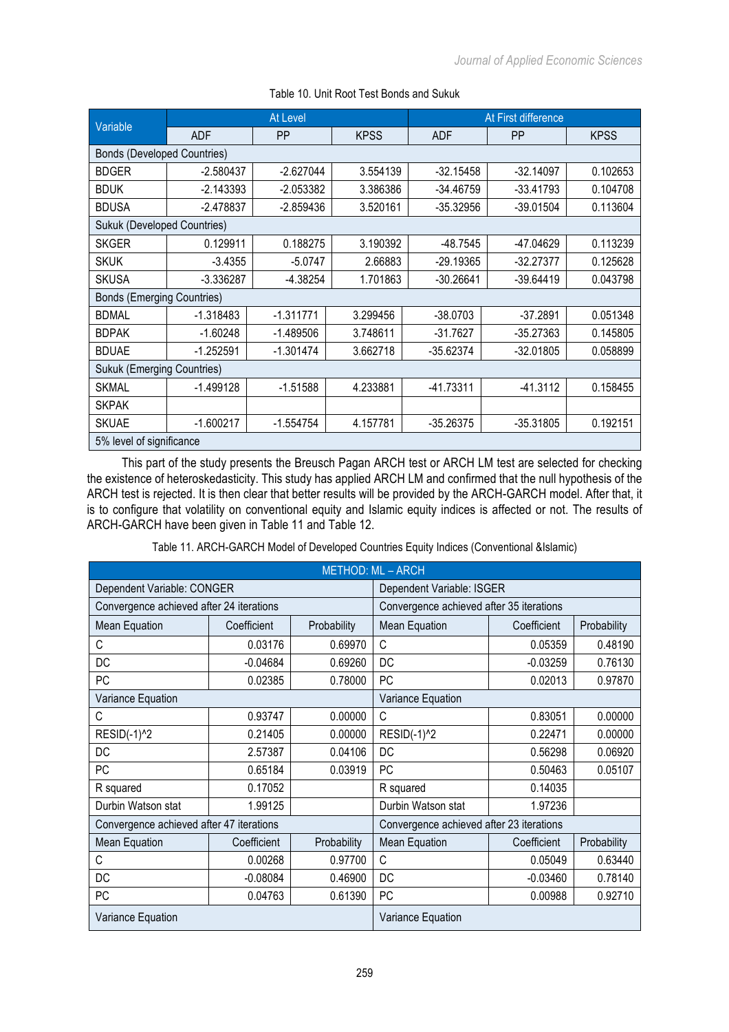| Variable                           | At Level    |             |             | At First difference |             |             |  |
|------------------------------------|-------------|-------------|-------------|---------------------|-------------|-------------|--|
|                                    | <b>ADF</b>  | <b>PP</b>   | <b>KPSS</b> | <b>ADF</b>          | <b>PP</b>   | <b>KPSS</b> |  |
| <b>Bonds (Developed Countries)</b> |             |             |             |                     |             |             |  |
| <b>BDGER</b>                       | $-2.580437$ | $-2.627044$ | 3.554139    | $-32.15458$         | $-32.14097$ | 0.102653    |  |
| <b>BDUK</b>                        | $-2.143393$ | $-2.053382$ | 3.386386    | $-34.46759$         | $-33.41793$ | 0.104708    |  |
| <b>BDUSA</b>                       | $-2.478837$ | $-2.859436$ | 3.520161    | $-35.32956$         | $-39.01504$ | 0.113604    |  |
| <b>Sukuk (Developed Countries)</b> |             |             |             |                     |             |             |  |
| SKGER                              | 0.129911    | 0.188275    | 3.190392    | $-48.7545$          | -47.04629   | 0.113239    |  |
| <b>SKUK</b>                        | $-3.4355$   | $-5.0747$   | 2.66883     | $-29.19365$         | $-32.27377$ | 0.125628    |  |
| <b>SKUSA</b>                       | $-3.336287$ | -4.38254    | 1.701863    | $-30.26641$         | $-39.64419$ | 0.043798    |  |
| <b>Bonds (Emerging Countries)</b>  |             |             |             |                     |             |             |  |
| <b>BDMAL</b>                       | $-1.318483$ | $-1.311771$ | 3.299456    | $-38.0703$          | $-37.2891$  | 0.051348    |  |
| <b>BDPAK</b>                       | $-1.60248$  | $-1.489506$ | 3.748611    | $-31.7627$          | $-35.27363$ | 0.145805    |  |
| <b>BDUAE</b>                       | $-1.252591$ | $-1.301474$ | 3.662718    | $-35.62374$         | $-32.01805$ | 0.058899    |  |
| <b>Sukuk (Emerging Countries)</b>  |             |             |             |                     |             |             |  |
| <b>SKMAL</b>                       | $-1.499128$ | $-1.51588$  | 4.233881    | $-41.73311$         | $-41.3112$  | 0.158455    |  |
| <b>SKPAK</b>                       |             |             |             |                     |             |             |  |
| <b>SKUAE</b>                       | $-1.600217$ | $-1.554754$ | 4.157781    | $-35.26375$         | $-35.31805$ | 0.192151    |  |
| 5% level of significance           |             |             |             |                     |             |             |  |

## Table 10. Unit Root Test Bonds and Sukuk

This part of the study presents the Breusch Pagan ARCH test or ARCH LM test are selected for checking the existence of heteroskedasticity. This study has applied ARCH LM and confirmed that the null hypothesis of the ARCH test is rejected. It is then clear that better results will be provided by the ARCH-GARCH model. After that, it is to configure that volatility on conventional equity and Islamic equity indices is affected or not. The results of ARCH-GARCH have been given in Table 11 and Table 12.

| Table 11. ARCH-GARCH Model of Developed Countries Equity Indices (Conventional &Islamic) |  |
|------------------------------------------------------------------------------------------|--|
|                                                                                          |  |

|                                          |             |             | <b>METHOD: ML - ARCH</b>                 |             |             |  |
|------------------------------------------|-------------|-------------|------------------------------------------|-------------|-------------|--|
| Dependent Variable: CONGER               |             |             | Dependent Variable: ISGER                |             |             |  |
| Convergence achieved after 24 iterations |             |             | Convergence achieved after 35 iterations |             |             |  |
| Mean Equation                            | Coefficient | Probability | <b>Mean Equation</b>                     | Coefficient | Probability |  |
| C                                        | 0.03176     | 0.69970     | C                                        | 0.05359     | 0.48190     |  |
| DC                                       | $-0.04684$  | 0.69260     | DC                                       | $-0.03259$  | 0.76130     |  |
| PC                                       | 0.02385     | 0.78000     | PC                                       | 0.02013     | 0.97870     |  |
| Variance Equation                        |             |             | Variance Equation                        |             |             |  |
| С                                        | 0.93747     | 0.00000     | С                                        | 0.83051     | 0.00000     |  |
| <b>RESID(-1)^2</b>                       | 0.21405     | 0.00000     | RESID(-1) <sup>^2</sup>                  | 0.22471     | 0.00000     |  |
| DC                                       | 2.57387     | 0.04106     | DC                                       | 0.56298     | 0.06920     |  |
| PC                                       | 0.65184     | 0.03919     | PC                                       | 0.50463     | 0.05107     |  |
| R squared                                | 0.17052     |             | R squared                                | 0.14035     |             |  |
| Durbin Watson stat                       | 1.99125     |             | Durbin Watson stat                       | 1.97236     |             |  |
| Convergence achieved after 47 iterations |             |             | Convergence achieved after 23 iterations |             |             |  |
| <b>Mean Equation</b>                     | Coefficient | Probability | <b>Mean Equation</b>                     | Coefficient | Probability |  |
| C                                        | 0.00268     | 0.97700     | C                                        | 0.05049     | 0.63440     |  |
| DC                                       | $-0.08084$  | 0.46900     | DC                                       | $-0.03460$  | 0.78140     |  |
| PC                                       | 0.04763     | 0.61390     | PC                                       | 0.00988     | 0.92710     |  |
| Variance Equation                        |             |             | Variance Equation                        |             |             |  |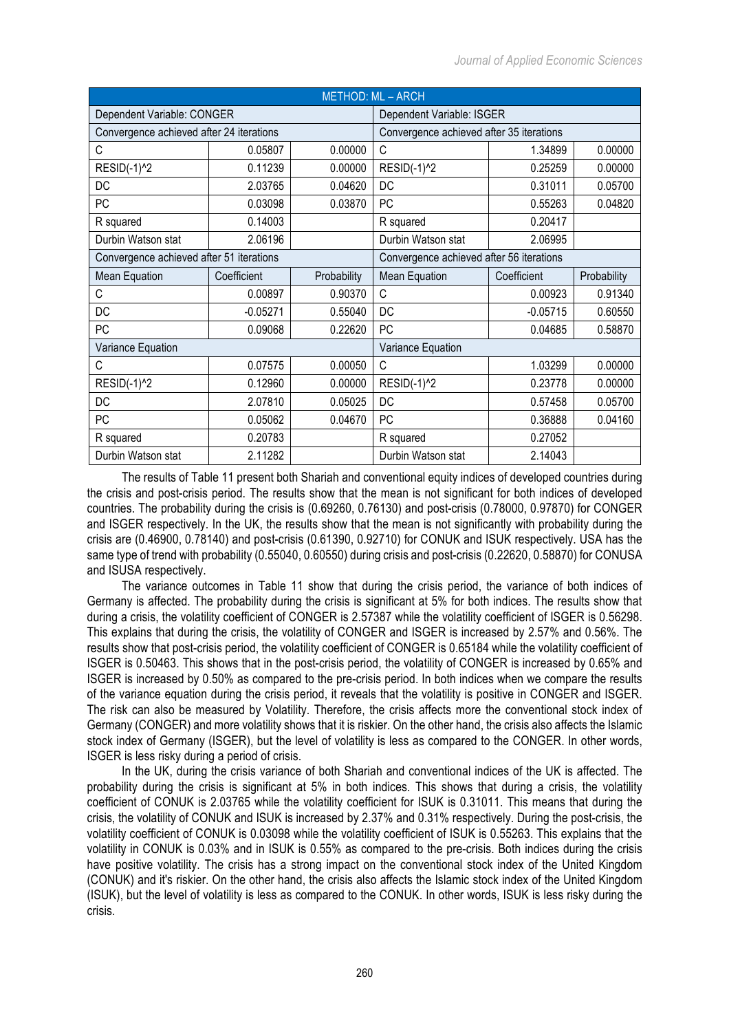| <b>METHOD: ML - ARCH</b>                 |             |             |                                          |             |             |  |  |
|------------------------------------------|-------------|-------------|------------------------------------------|-------------|-------------|--|--|
| Dependent Variable: CONGER               |             |             | Dependent Variable: ISGER                |             |             |  |  |
| Convergence achieved after 24 iterations |             |             | Convergence achieved after 35 iterations |             |             |  |  |
| С                                        | 0.05807     | 0.00000     | C                                        | 1.34899     | 0.00000     |  |  |
| RESID(-1)^2                              | 0.11239     | 0.00000     | RESID(-1)^2                              | 0.25259     | 0.00000     |  |  |
| DC                                       | 2.03765     | 0.04620     | DC                                       | 0.31011     | 0.05700     |  |  |
| РC                                       | 0.03098     | 0.03870     | <b>PC</b>                                | 0.55263     | 0.04820     |  |  |
| R squared                                | 0.14003     |             | R squared                                | 0.20417     |             |  |  |
| Durbin Watson stat                       | 2.06196     |             | Durbin Watson stat                       | 2.06995     |             |  |  |
| Convergence achieved after 51 iterations |             |             | Convergence achieved after 56 iterations |             |             |  |  |
| Mean Equation                            | Coefficient | Probability | <b>Mean Equation</b>                     | Coefficient | Probability |  |  |
| С                                        | 0.00897     | 0.90370     | C                                        | 0.00923     | 0.91340     |  |  |
| DC                                       | $-0.05271$  | 0.55040     | DC                                       | $-0.05715$  | 0.60550     |  |  |
| PC                                       | 0.09068     | 0.22620     | <b>PC</b>                                | 0.04685     | 0.58870     |  |  |
| Variance Equation                        |             |             | Variance Equation                        |             |             |  |  |
| C                                        | 0.07575     | 0.00050     | $\mathsf{C}$                             | 1.03299     | 0.00000     |  |  |
| RESID(-1)^2                              | 0.12960     | 0.00000     | RESID(-1)^2                              | 0.23778     | 0.00000     |  |  |
| DC                                       | 2.07810     | 0.05025     | DC                                       | 0.57458     | 0.05700     |  |  |
| PC                                       | 0.05062     | 0.04670     | PC                                       | 0.36888     | 0.04160     |  |  |
| R squared                                | 0.20783     |             | R squared                                | 0.27052     |             |  |  |
| Durbin Watson stat                       | 2.11282     |             | Durbin Watson stat                       | 2.14043     |             |  |  |

The results of Table 11 present both Shariah and conventional equity indices of developed countries during the crisis and post-crisis period. The results show that the mean is not significant for both indices of developed countries. The probability during the crisis is (0.69260, 0.76130) and post-crisis (0.78000, 0.97870) for CONGER and ISGER respectively. In the UK, the results show that the mean is not significantly with probability during the crisis are (0.46900, 0.78140) and post-crisis (0.61390, 0.92710) for CONUK and ISUK respectively. USA has the same type of trend with probability (0.55040, 0.60550) during crisis and post-crisis (0.22620, 0.58870) for CONUSA and ISUSA respectively.

The variance outcomes in Table 11 show that during the crisis period, the variance of both indices of Germany is affected. The probability during the crisis is significant at 5% for both indices. The results show that during a crisis, the volatility coefficient of CONGER is 2.57387 while the volatility coefficient of ISGER is 0.56298. This explains that during the crisis, the volatility of CONGER and ISGER is increased by 2.57% and 0.56%. The results show that post-crisis period, the volatility coefficient of CONGER is 0.65184 while the volatility coefficient of ISGER is 0.50463. This shows that in the post-crisis period, the volatility of CONGER is increased by 0.65% and ISGER is increased by 0.50% as compared to the pre-crisis period. In both indices when we compare the results of the variance equation during the crisis period, it reveals that the volatility is positive in CONGER and ISGER. The risk can also be measured by Volatility. Therefore, the crisis affects more the conventional stock index of Germany (CONGER) and more volatility shows that it is riskier. On the other hand, the crisis also affects the Islamic stock index of Germany (ISGER), but the level of volatility is less as compared to the CONGER. In other words, ISGER is less risky during a period of crisis.

In the UK, during the crisis variance of both Shariah and conventional indices of the UK is affected. The probability during the crisis is significant at 5% in both indices. This shows that during a crisis, the volatility coefficient of CONUK is 2.03765 while the volatility coefficient for ISUK is 0.31011. This means that during the crisis, the volatility of CONUK and ISUK is increased by 2.37% and 0.31% respectively. During the post-crisis, the volatility coefficient of CONUK is 0.03098 while the volatility coefficient of ISUK is 0.55263. This explains that the volatility in CONUK is 0.03% and in ISUK is 0.55% as compared to the pre-crisis. Both indices during the crisis have positive volatility. The crisis has a strong impact on the conventional stock index of the United Kingdom (CONUK) and it's riskier. On the other hand, the crisis also affects the Islamic stock index of the United Kingdom (ISUK), but the level of volatility is less as compared to the CONUK. In other words, ISUK is less risky during the crisis.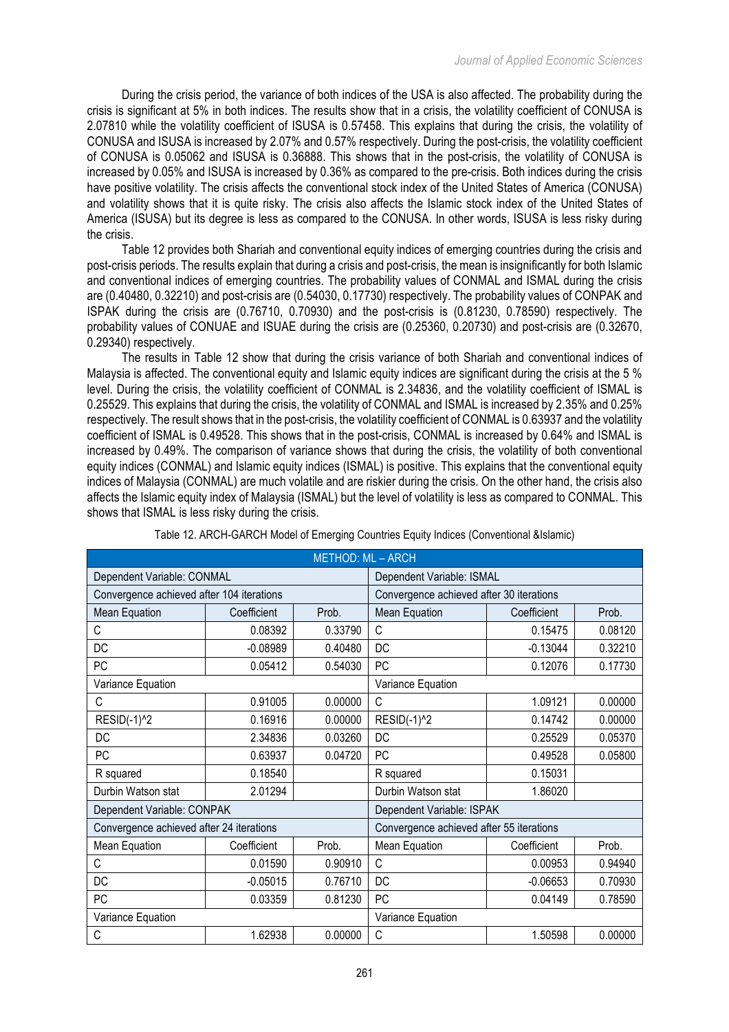During the crisis period, the variance of both indices of the USA is also affected. The probability during the crisis is significant at 5% in both indices. The results show that in a crisis, the volatility coefficient of CONUSA is 2.07810 while the volatility coefficient of ISUSA is 0.57458. This explains that during the crisis, the volatility of CONUSA and ISUSA is increased by 2.07% and 0.57% respectively. During the post-crisis, the volatility coefficient of CONUSA is 0.05062 and ISUSA is 0.36888. This shows that in the post-crisis, the volatility of CONUSA is increased by 0.05% and ISUSA is increased by 0.36% as compared to the pre-crisis. Both indices during the crisis have positive volatility. The crisis affects the conventional stock index of the United States of America (CONUSA) and volatility shows that it is quite risky. The crisis also affects the Islamic stock index of the United States of America (ISUSA) but its degree is less as compared to the CONUSA. In other words, ISUSA is less risky during the crisis.

Table 12 provides both Shariah and conventional equity indices of emerging countries during the crisis and post-crisis periods. The results explain that during a crisis and post-crisis, the mean is insignificantly for both Islamic and conventional indices of emerging countries. The probability values of CONMAL and ISMAL during the crisis are (0.40480, 0.32210) and post-crisis are (0.54030, 0.17730) respectively. The probability values of CONPAK and ISPAK during the crisis are (0.76710, 0.70930) and the post-crisis is (0.81230, 0.78590) respectively. The probability values of CONUAE and ISUAE during the crisis are (0.25360, 0.20730) and post-crisis are (0.32670, 0.29340) respectively.

The results in Table 12 show that during the crisis variance of both Shariah and conventional indices of Malaysia is affected. The conventional equity and Islamic equity indices are significant during the crisis at the 5 % level. During the crisis, the volatility coefficient of CONMAL is 2.34836, and the volatility coefficient of ISMAL is 0.25529. This explains that during the crisis, the volatility of CONMAL and ISMAL is increased by 2.35% and 0.25% respectively. The result shows that in the post-crisis, the volatility coefficient of CONMAL is 0.63937 and the volatility coefficient of ISMAL is 0.49528. This shows that in the post-crisis, CONMAL is increased by 0.64% and ISMAL is increased by 0.49%. The comparison of variance shows that during the crisis, the volatility of both conventional equity indices (CONMAL) and Islamic equity indices (ISMAL) is positive. This explains that the conventional equity indices of Malaysia (CONMAL) are much volatile and are riskier during the crisis. On the other hand, the crisis also affects the Islamic equity index of Malaysia (ISMAL) but the level of volatility is less as compared to CONMAL. This shows that ISMAL is less risky during the crisis.

| <b>METHOD: ML - ARCH</b>                  |             |         |                                          |             |         |  |
|-------------------------------------------|-------------|---------|------------------------------------------|-------------|---------|--|
| Dependent Variable: CONMAL                |             |         | Dependent Variable: ISMAL                |             |         |  |
| Convergence achieved after 104 iterations |             |         | Convergence achieved after 30 iterations |             |         |  |
| Mean Equation                             | Coefficient | Prob.   | <b>Mean Equation</b>                     | Coefficient | Prob.   |  |
| C                                         | 0.08392     | 0.33790 | C                                        | 0.15475     | 0.08120 |  |
| DC                                        | $-0.08989$  | 0.40480 | DC                                       | $-0.13044$  | 0.32210 |  |
| PC                                        | 0.05412     | 0.54030 | <b>PC</b>                                | 0.12076     | 0.17730 |  |
| Variance Equation                         |             |         |                                          |             |         |  |
| C                                         | 0.91005     | 0.00000 | C                                        | 1.09121     | 0.00000 |  |
| <b>RESID(-1)^2</b>                        | 0.16916     | 0.00000 | <b>RESID(-1)^2</b>                       | 0.14742     | 0.00000 |  |
| DC                                        | 2.34836     | 0.03260 | <b>DC</b>                                | 0.25529     | 0.05370 |  |
| PC                                        | 0.63937     | 0.04720 | <b>PC</b>                                | 0.49528     | 0.05800 |  |
| R squared                                 | 0.18540     |         | R squared                                | 0.15031     |         |  |
| Durbin Watson stat                        | 2.01294     |         | Durbin Watson stat                       | 1.86020     |         |  |
| Dependent Variable: CONPAK                |             |         | Dependent Variable: ISPAK                |             |         |  |
| Convergence achieved after 24 iterations  |             |         | Convergence achieved after 55 iterations |             |         |  |
| Mean Equation                             | Coefficient | Prob.   | Mean Equation                            | Coefficient | Prob.   |  |
| C                                         | 0.01590     | 0.90910 | C                                        | 0.00953     | 0.94940 |  |
| DC                                        | $-0.05015$  | 0.76710 | DC                                       | $-0.06653$  | 0.70930 |  |
| PC                                        | 0.03359     | 0.81230 | <b>PC</b>                                | 0.04149     | 0.78590 |  |
| Variance Equation                         |             |         | Variance Equation                        |             |         |  |
| C                                         | 1.62938     | 0.00000 | C                                        | 1.50598     | 0.00000 |  |

Table 12. ARCH-GARCH Model of Emerging Countries Equity Indices (Conventional &Islamic)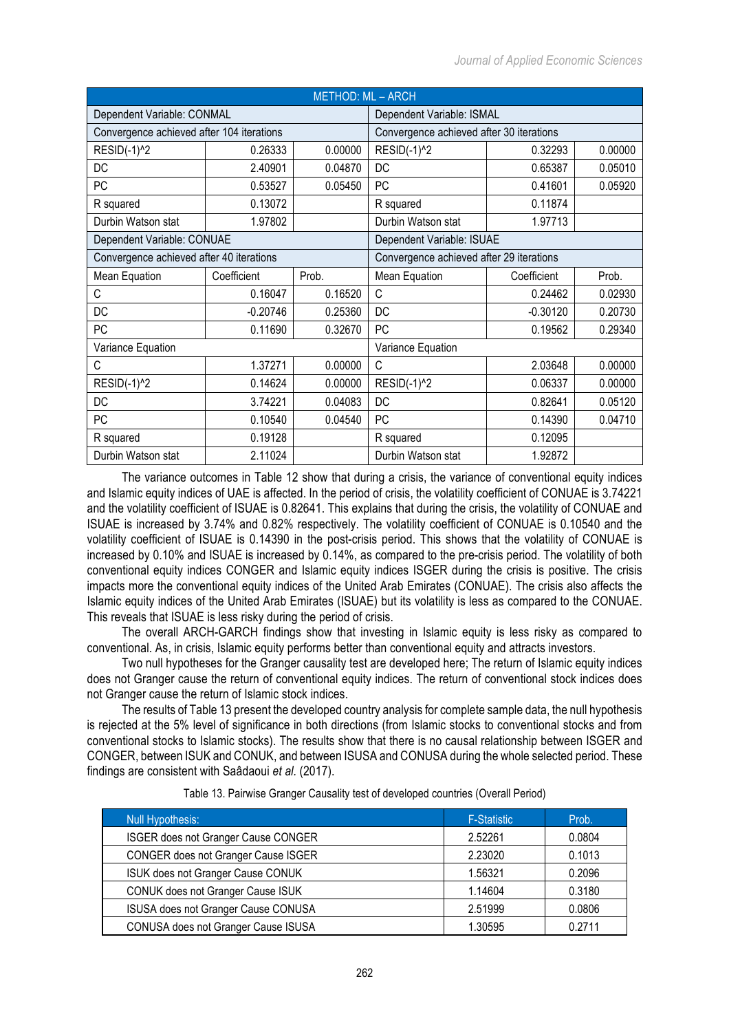| <b>METHOD: ML - ARCH</b>                  |             |         |                                          |             |         |  |  |
|-------------------------------------------|-------------|---------|------------------------------------------|-------------|---------|--|--|
| Dependent Variable: CONMAL                |             |         | Dependent Variable: ISMAL                |             |         |  |  |
| Convergence achieved after 104 iterations |             |         | Convergence achieved after 30 iterations |             |         |  |  |
| $RESID(-1)2$                              | 0.26333     | 0.00000 | <b>RESID(-1)^2</b>                       | 0.32293     | 0.00000 |  |  |
| DC                                        | 2.40901     | 0.04870 | DC                                       | 0.65387     | 0.05010 |  |  |
| PC                                        | 0.53527     | 0.05450 | PC                                       | 0.41601     | 0.05920 |  |  |
| R squared                                 | 0.13072     |         | R squared                                | 0.11874     |         |  |  |
| Durbin Watson stat                        | 1.97802     |         | Durbin Watson stat                       | 1.97713     |         |  |  |
| Dependent Variable: CONUAE                |             |         | Dependent Variable: ISUAE                |             |         |  |  |
| Convergence achieved after 40 iterations  |             |         | Convergence achieved after 29 iterations |             |         |  |  |
| Mean Equation                             | Coefficient | Prob.   | Mean Equation                            | Coefficient | Prob.   |  |  |
| C                                         | 0.16047     | 0.16520 | C                                        | 0.24462     | 0.02930 |  |  |
| DC                                        | $-0.20746$  | 0.25360 | DC                                       | $-0.30120$  | 0.20730 |  |  |
| PC                                        | 0.11690     | 0.32670 | PC                                       | 0.19562     | 0.29340 |  |  |
| Variance Equation                         |             |         | Variance Equation                        |             |         |  |  |
| C                                         | 1.37271     | 0.00000 | C                                        | 2.03648     | 0.00000 |  |  |
| RESID(-1) <sup>^2</sup>                   | 0.14624     | 0.00000 | <b>RESID(-1)^2</b>                       | 0.06337     | 0.00000 |  |  |
| DC                                        | 3.74221     | 0.04083 | DC                                       | 0.82641     | 0.05120 |  |  |
| PC                                        | 0.10540     | 0.04540 | <b>PC</b>                                | 0.14390     | 0.04710 |  |  |
| R squared                                 | 0.19128     |         | R squared                                | 0.12095     |         |  |  |
| Durbin Watson stat                        | 2.11024     |         | Durbin Watson stat                       | 1.92872     |         |  |  |

The variance outcomes in Table 12 show that during a crisis, the variance of conventional equity indices and Islamic equity indices of UAE is affected. In the period of crisis, the volatility coefficient of CONUAE is 3.74221 and the volatility coefficient of ISUAE is 0.82641. This explains that during the crisis, the volatility of CONUAE and ISUAE is increased by 3.74% and 0.82% respectively. The volatility coefficient of CONUAE is 0.10540 and the volatility coefficient of ISUAE is 0.14390 in the post-crisis period. This shows that the volatility of CONUAE is increased by 0.10% and ISUAE is increased by 0.14%, as compared to the pre-crisis period. The volatility of both conventional equity indices CONGER and Islamic equity indices ISGER during the crisis is positive. The crisis impacts more the conventional equity indices of the United Arab Emirates (CONUAE). The crisis also affects the Islamic equity indices of the United Arab Emirates (ISUAE) but its volatility is less as compared to the CONUAE. This reveals that ISUAE is less risky during the period of crisis.

The overall ARCH-GARCH findings show that investing in Islamic equity is less risky as compared to conventional. As, in crisis, Islamic equity performs better than conventional equity and attracts investors.

Two null hypotheses for the Granger causality test are developed here; The return of Islamic equity indices does not Granger cause the return of conventional equity indices. The return of conventional stock indices does not Granger cause the return of Islamic stock indices.

The results of Table 13 present the developed country analysis for complete sample data, the null hypothesis is rejected at the 5% level of significance in both directions (from Islamic stocks to conventional stocks and from conventional stocks to Islamic stocks). The results show that there is no causal relationship between ISGER and CONGER, between ISUK and CONUK, and between ISUSA and CONUSA during the whole selected period. These findings are consistent with Saâdaoui *et al.* (2017).

| Null Hypothesis:                           | <b>F-Statistic</b> | Prob.  |
|--------------------------------------------|--------------------|--------|
| ISGER does not Granger Cause CONGER        | 2.52261            | 0.0804 |
| <b>CONGER does not Granger Cause ISGER</b> | 2.23020            | 0.1013 |
| ISUK does not Granger Cause CONUK          | 1.56321            | 0.2096 |
| <b>CONUK does not Granger Cause ISUK</b>   | 1.14604            | 0.3180 |
| ISUSA does not Granger Cause CONUSA        | 2.51999            | 0.0806 |
| CONUSA does not Granger Cause ISUSA        | 1.30595            | 0 2711 |

Table 13. Pairwise Granger Causality test of developed countries (Overall Period)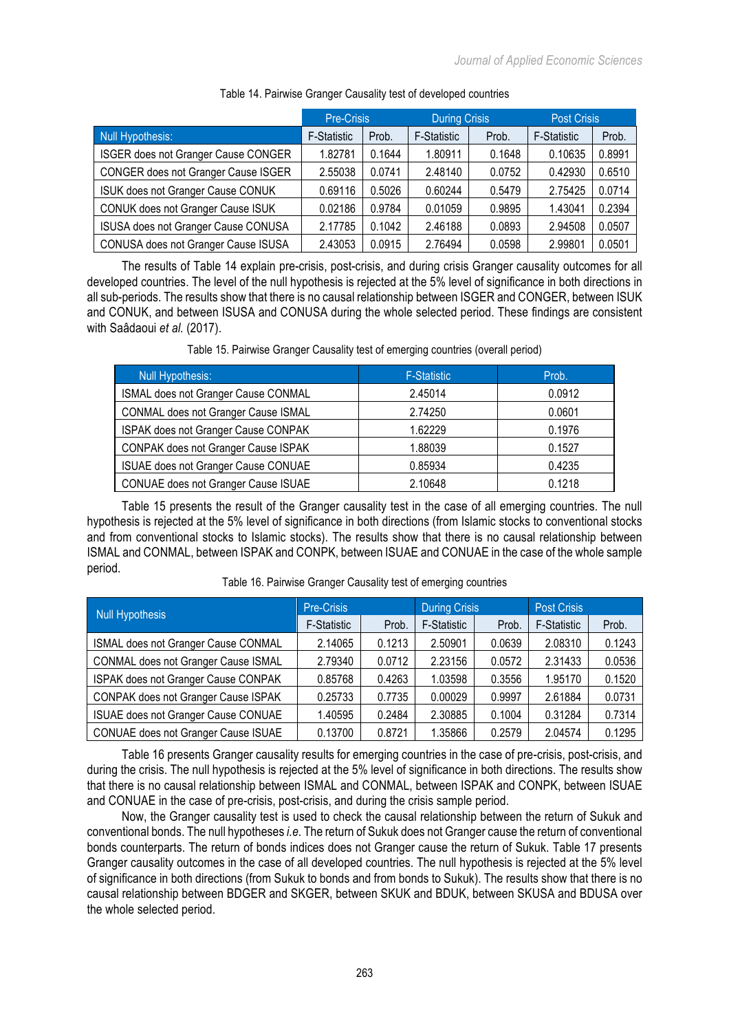|                                     | Pre-Crisis         |        | <b>During Crisis</b> |        | <b>Post Crisis</b> |        |
|-------------------------------------|--------------------|--------|----------------------|--------|--------------------|--------|
| Null Hypothesis:                    | <b>F-Statistic</b> | Prob.  | <b>F-Statistic</b>   | Prob.  | <b>F-Statistic</b> | Prob.  |
| ISGER does not Granger Cause CONGER | 1.82781            | 0.1644 | 1.80911              | 0.1648 | 0.10635            | 0.8991 |
| CONGER does not Granger Cause ISGER | 2.55038            | 0.0741 | 2.48140              | 0.0752 | 0.42930            | 0.6510 |
| ISUK does not Granger Cause CONUK   | 0.69116            | 0.5026 | 0.60244              | 0.5479 | 2.75425            | 0.0714 |
| CONUK does not Granger Cause ISUK   | 0.02186            | 0.9784 | 0.01059              | 0.9895 | 1.43041            | 0.2394 |
| ISUSA does not Granger Cause CONUSA | 2.17785            | 0.1042 | 2.46188              | 0.0893 | 2.94508            | 0.0507 |
| CONUSA does not Granger Cause ISUSA | 2.43053            | 0.0915 | 2.76494              | 0.0598 | 2.99801            | 0.0501 |

## Table 14. Pairwise Granger Causality test of developed countries

The results of Table 14 explain pre-crisis, post-crisis, and during crisis Granger causality outcomes for all developed countries. The level of the null hypothesis is rejected at the 5% level of significance in both directions in all sub-periods. The results show that there is no causal relationship between ISGER and CONGER, between ISUK and CONUK, and between ISUSA and CONUSA during the whole selected period. These findings are consistent with Saâdaoui *et al.* (2017).

|  |  |  | Table 15. Pairwise Granger Causality test of emerging countries (overall period) |  |
|--|--|--|----------------------------------------------------------------------------------|--|
|  |  |  |                                                                                  |  |

| <b>Null Hypothesis:</b>             | <b>F-Statistic</b> | Prob.  |
|-------------------------------------|--------------------|--------|
| ISMAL does not Granger Cause CONMAL | 2.45014            | 0.0912 |
| CONMAL does not Granger Cause ISMAL | 2.74250            | 0.0601 |
| ISPAK does not Granger Cause CONPAK | 1.62229            | 0.1976 |
| CONPAK does not Granger Cause ISPAK | 1.88039            | 0.1527 |
| ISUAE does not Granger Cause CONUAE | 0.85934            | 0.4235 |
| CONUAE does not Granger Cause ISUAE | 2.10648            | 0.1218 |

Table 15 presents the result of the Granger causality test in the case of all emerging countries. The null hypothesis is rejected at the 5% level of significance in both directions (from Islamic stocks to conventional stocks and from conventional stocks to Islamic stocks). The results show that there is no causal relationship between ISMAL and CONMAL, between ISPAK and CONPK, between ISUAE and CONUAE in the case of the whole sample period.

| Null Hypothesis                     | <b>Pre-Crisis</b>  |        | <b>During Crisis</b> |        | <b>Post Crisis</b> |        |
|-------------------------------------|--------------------|--------|----------------------|--------|--------------------|--------|
|                                     | <b>F-Statistic</b> | Prob.  | F-Statistic          | Prob.  | <b>F-Statistic</b> | Prob.  |
| ISMAL does not Granger Cause CONMAL | 2.14065            | 0.1213 | 2.50901              | 0.0639 | 2.08310            | 0.1243 |
| CONMAL does not Granger Cause ISMAL | 2.79340            | 0.0712 | 2.23156              | 0.0572 | 2.31433            | 0.0536 |
| ISPAK does not Granger Cause CONPAK | 0.85768            | 0.4263 | 1.03598              | 0.3556 | 1.95170            | 0.1520 |
| CONPAK does not Granger Cause ISPAK | 0.25733            | 0.7735 | 0.00029              | 0.9997 | 2.61884            | 0.0731 |
| ISUAE does not Granger Cause CONUAE | 1.40595            | 0.2484 | 2.30885              | 0.1004 | 0.31284            | 0.7314 |
| CONUAE does not Granger Cause ISUAE | 0.13700            | 0.8721 | 1.35866              | 0.2579 | 2.04574            | 0.1295 |

Table 16. Pairwise Granger Causality test of emerging countries

Table 16 presents Granger causality results for emerging countries in the case of pre-crisis, post-crisis, and during the crisis. The null hypothesis is rejected at the 5% level of significance in both directions. The results show that there is no causal relationship between ISMAL and CONMAL, between ISPAK and CONPK, between ISUAE and CONUAE in the case of pre-crisis, post-crisis, and during the crisis sample period.

Now, the Granger causality test is used to check the causal relationship between the return of Sukuk and conventional bonds. The null hypotheses *i.e*. The return of Sukuk does not Granger cause the return of conventional bonds counterparts. The return of bonds indices does not Granger cause the return of Sukuk. Table 17 presents Granger causality outcomes in the case of all developed countries. The null hypothesis is rejected at the 5% level of significance in both directions (from Sukuk to bonds and from bonds to Sukuk). The results show that there is no causal relationship between BDGER and SKGER, between SKUK and BDUK, between SKUSA and BDUSA over the whole selected period.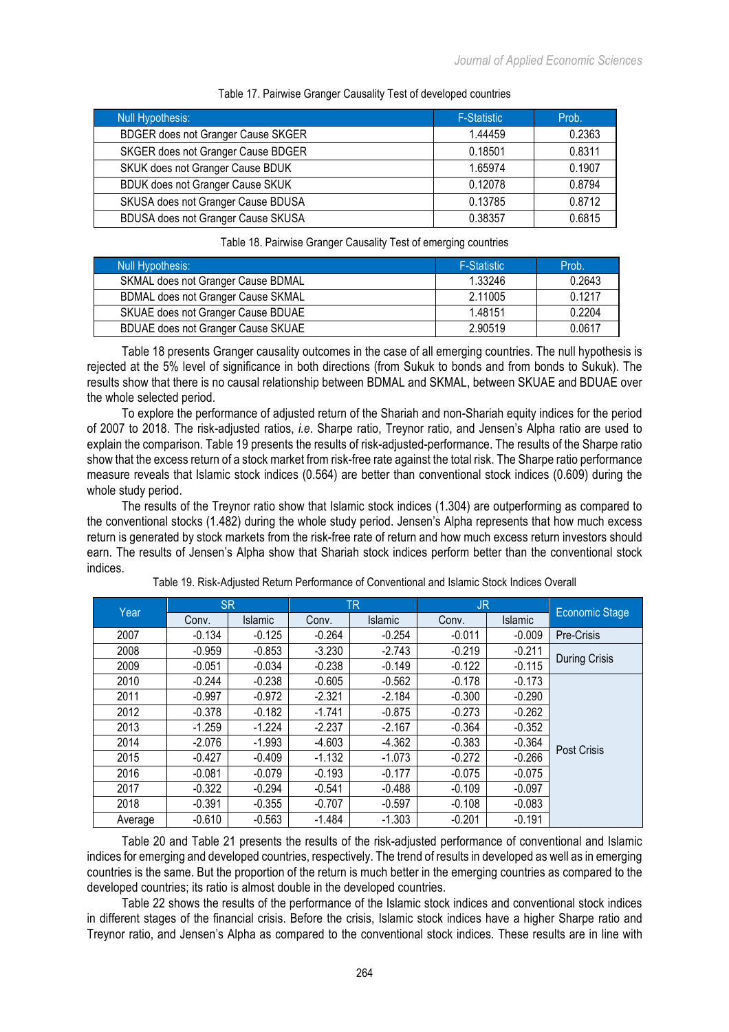| <b>Null Hypothesis:</b>                   | <b>F-Statistic</b> | Prob.  |
|-------------------------------------------|--------------------|--------|
| <b>BDGER does not Granger Cause SKGER</b> | 1.44459            | 0.2363 |
| SKGER does not Granger Cause BDGER        | 0.18501            | 0.8311 |
| SKUK does not Granger Cause BDUK          | 1.65974            | 0.1907 |
| <b>BDUK does not Granger Cause SKUK</b>   | 0.12078            | 0.8794 |
| SKUSA does not Granger Cause BDUSA        | 0.13785            | 0.8712 |
| BDUSA does not Granger Cause SKUSA        | 0.38357            | 0.6815 |

#### Table 17. Pairwise Granger Causality Test of developed countries

## Table 18. Pairwise Granger Causality Test of emerging countries

| Null Hypothesis:                          | F-Statistic | Prob.  |
|-------------------------------------------|-------------|--------|
| SKMAL does not Granger Cause BDMAL        | 1.33246     | 0.2643 |
| <b>BDMAL does not Granger Cause SKMAL</b> | 2.11005     | 0.1217 |
| SKUAE does not Granger Cause BDUAE        | 1.48151     | 0.2204 |
| BDUAE does not Granger Cause SKUAE        | 2.90519     | 0.0617 |

Table 18 presents Granger causality outcomes in the case of all emerging countries. The null hypothesis is rejected at the 5% level of significance in both directions (from Sukuk to bonds and from bonds to Sukuk). The results show that there is no causal relationship between BDMAL and SKMAL, between SKUAE and BDUAE over the whole selected period.

To explore the performance of adjusted return of the Shariah and non-Shariah equity indices for the period of 2007 to 2018. The risk-adjusted ratios, *i.e*. Sharpe ratio, Treynor ratio, and Jensen's Alpha ratio are used to explain the comparison. Table 19 presents the results of risk-adjusted-performance. The results of the Sharpe ratio show that the excess return of a stock market from risk-free rate against the total risk. The Sharpe ratio performance measure reveals that Islamic stock indices (0.564) are better than conventional stock indices (0.609) during the whole study period.

The results of the Treynor ratio show that Islamic stock indices (1.304) are outperforming as compared to the conventional stocks (1.482) during the whole study period. Jensen's Alpha represents that how much excess return is generated by stock markets from the risk-free rate of return and how much excess return investors should earn. The results of Jensen's Alpha show that Shariah stock indices perform better than the conventional stock indices.

| Year    | <b>SR</b> |                |          | TR             | JR.      |          |                |
|---------|-----------|----------------|----------|----------------|----------|----------|----------------|
|         | Conv.     | <b>Islamic</b> | Conv.    | <b>Islamic</b> | Conv.    | Islamic  | Economic Stage |
| 2007    | $-0.134$  | $-0.125$       | $-0.264$ | $-0.254$       | $-0.011$ | $-0.009$ | Pre-Crisis     |
| 2008    | $-0.959$  | $-0.853$       | $-3.230$ | $-2.743$       | $-0.219$ | $-0.211$ |                |
| 2009    | $-0.051$  | $-0.034$       | $-0.238$ | $-0.149$       | $-0.122$ | $-0.115$ | During Crisis  |
| 2010    | $-0.244$  | $-0.238$       | $-0.605$ | $-0.562$       | $-0.178$ | $-0.173$ |                |
| 2011    | $-0.997$  | $-0.972$       | $-2.321$ | $-2.184$       | $-0.300$ | $-0.290$ |                |
| 2012    | $-0.378$  | $-0.182$       | $-1.741$ | $-0.875$       | $-0.273$ | $-0.262$ |                |
| 2013    | $-1.259$  | $-1.224$       | $-2.237$ | $-2.167$       | $-0.364$ | $-0.352$ |                |
| 2014    | $-2.076$  | $-1.993$       | $-4.603$ | $-4.362$       | $-0.383$ | $-0.364$ | Post Crisis    |
| 2015    | $-0.427$  | $-0.409$       | $-1.132$ | $-1.073$       | $-0.272$ | $-0.266$ |                |
| 2016    | $-0.081$  | $-0.079$       | $-0.193$ | $-0.177$       | $-0.075$ | $-0.075$ |                |
| 2017    | $-0.322$  | $-0.294$       | $-0.541$ | $-0.488$       | $-0.109$ | $-0.097$ |                |
| 2018    | $-0.391$  | $-0.355$       | $-0.707$ | $-0.597$       | $-0.108$ | $-0.083$ |                |
| Average | $-0.610$  | $-0.563$       | $-1.484$ | $-1.303$       | $-0.201$ | $-0.191$ |                |

Table 19. Risk-Adjusted Return Performance of Conventional and Islamic Stock Indices Overall

Table 20 and Table 21 presents the results of the risk-adjusted performance of conventional and Islamic indices for emerging and developed countries, respectively. The trend of results in developed as well as in emerging countries is the same. But the proportion of the return is much better in the emerging countries as compared to the developed countries; its ratio is almost double in the developed countries.

Table 22 shows the results of the performance of the Islamic stock indices and conventional stock indices in different stages of the financial crisis. Before the crisis, Islamic stock indices have a higher Sharpe ratio and Treynor ratio, and Jensen's Alpha as compared to the conventional stock indices. These results are in line with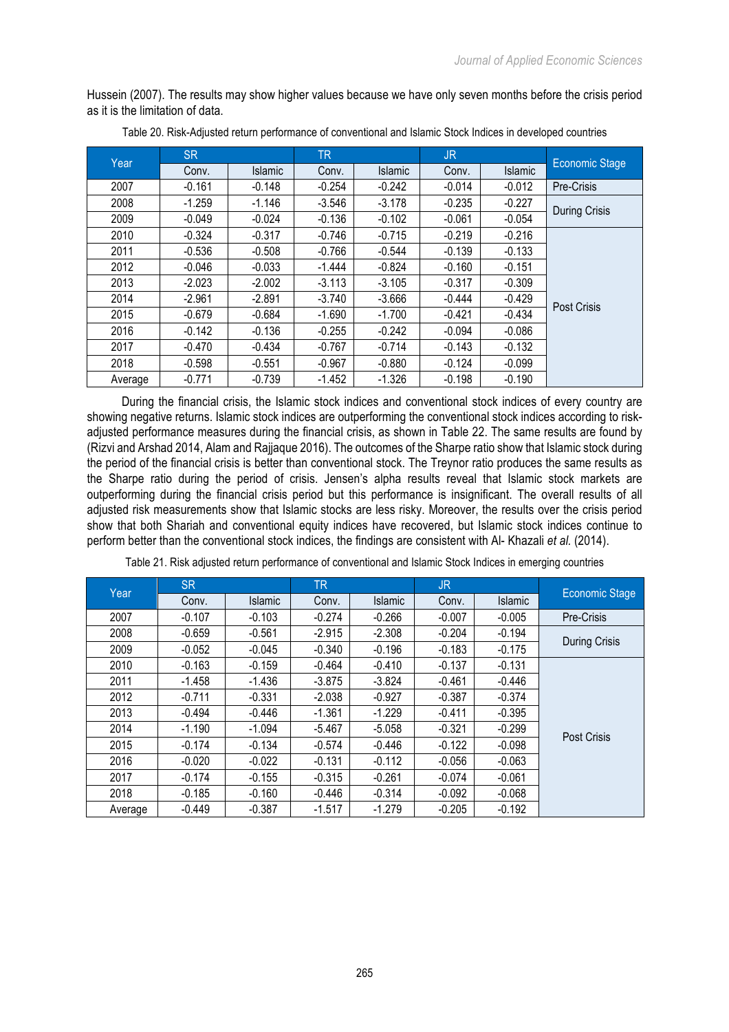Hussein (2007). The results may show higher values because we have only seven months before the crisis period as it is the limitation of data.

| Year    | <b>SR</b> |          | <b>TR</b> |          | JR.      |          | <b>Economic Stage</b> |
|---------|-----------|----------|-----------|----------|----------|----------|-----------------------|
|         | Conv.     | Islamic  | Conv.     | Islamic  | Conv.    | Islamic  |                       |
| 2007    | $-0.161$  | $-0.148$ | $-0.254$  | $-0.242$ | $-0.014$ | $-0.012$ | Pre-Crisis            |
| 2008    | $-1.259$  | $-1.146$ | $-3.546$  | $-3.178$ | $-0.235$ | $-0.227$ | <b>During Crisis</b>  |
| 2009    | $-0.049$  | $-0.024$ | $-0.136$  | $-0.102$ | $-0.061$ | $-0.054$ |                       |
| 2010    | $-0.324$  | $-0.317$ | $-0.746$  | $-0.715$ | $-0.219$ | $-0.216$ |                       |
| 2011    | $-0.536$  | $-0.508$ | $-0.766$  | $-0.544$ | $-0.139$ | $-0.133$ |                       |
| 2012    | $-0.046$  | $-0.033$ | $-1.444$  | $-0.824$ | $-0.160$ | $-0.151$ |                       |
| 2013    | $-2.023$  | $-2.002$ | $-3.113$  | $-3.105$ | $-0.317$ | $-0.309$ |                       |
| 2014    | $-2.961$  | $-2.891$ | $-3.740$  | $-3.666$ | $-0.444$ | $-0.429$ | Post Crisis           |
| 2015    | $-0.679$  | $-0.684$ | $-1.690$  | $-1.700$ | $-0.421$ | $-0.434$ |                       |
| 2016    | $-0.142$  | $-0.136$ | $-0.255$  | $-0.242$ | $-0.094$ | $-0.086$ |                       |
| 2017    | $-0.470$  | $-0.434$ | $-0.767$  | $-0.714$ | $-0.143$ | $-0.132$ |                       |
| 2018    | $-0.598$  | $-0.551$ | $-0.967$  | $-0.880$ | $-0.124$ | $-0.099$ |                       |
| Average | $-0.771$  | $-0.739$ | $-1.452$  | $-1.326$ | $-0.198$ | $-0.190$ |                       |

Table 20. Risk-Adjusted return performance of conventional and Islamic Stock Indices in developed countries

During the financial crisis, the Islamic stock indices and conventional stock indices of every country are showing negative returns. Islamic stock indices are outperforming the conventional stock indices according to riskadjusted performance measures during the financial crisis, as shown in Table 22. The same results are found by (Rizvi and Arshad 2014, Alam and Rajjaque 2016). The outcomes of the Sharpe ratio show that Islamic stock during the period of the financial crisis is better than conventional stock. The Treynor ratio produces the same results as the Sharpe ratio during the period of crisis. Jensen's alpha results reveal that Islamic stock markets are outperforming during the financial crisis period but this performance is insignificant. The overall results of all adjusted risk measurements show that Islamic stocks are less risky. Moreover, the results over the crisis period show that both Shariah and conventional equity indices have recovered, but Islamic stock indices continue to perform better than the conventional stock indices, the findings are consistent with Al- Khazali *et al.* (2014).

| Year    | SR.      |                | TR.      |                | <b>JR</b> |          | <b>Economic Stage</b> |  |  |
|---------|----------|----------------|----------|----------------|-----------|----------|-----------------------|--|--|
|         | Conv.    | <b>Islamic</b> | Conv.    | <b>Islamic</b> | Conv.     | Islamic  |                       |  |  |
| 2007    | $-0.107$ | $-0.103$       | $-0.274$ | $-0.266$       | $-0.007$  | $-0.005$ | Pre-Crisis            |  |  |
| 2008    | $-0.659$ | $-0.561$       | $-2.915$ | $-2.308$       | $-0.204$  | $-0.194$ | <b>During Crisis</b>  |  |  |
| 2009    | $-0.052$ | $-0.045$       | $-0.340$ | $-0.196$       | $-0.183$  | $-0.175$ |                       |  |  |
| 2010    | $-0.163$ | $-0.159$       | $-0.464$ | $-0.410$       | $-0.137$  | $-0.131$ |                       |  |  |
| 2011    | $-1.458$ | $-1.436$       | $-3.875$ | $-3.824$       | $-0.461$  | $-0.446$ |                       |  |  |
| 2012    | $-0.711$ | $-0.331$       | $-2.038$ | $-0.927$       | $-0.387$  | $-0.374$ |                       |  |  |
| 2013    | $-0.494$ | $-0.446$       | $-1.361$ | $-1.229$       | $-0.411$  | $-0.395$ |                       |  |  |
| 2014    | $-1.190$ | $-1.094$       | $-5.467$ | $-5.058$       | $-0.321$  | $-0.299$ | Post Crisis           |  |  |
| 2015    | $-0.174$ | $-0.134$       | $-0.574$ | $-0.446$       | $-0.122$  | $-0.098$ |                       |  |  |
| 2016    | $-0.020$ | $-0.022$       | $-0.131$ | $-0.112$       | $-0.056$  | $-0.063$ |                       |  |  |
| 2017    | $-0.174$ | $-0.155$       | $-0.315$ | $-0.261$       | $-0.074$  | $-0.061$ |                       |  |  |
| 2018    | $-0.185$ | $-0.160$       | $-0.446$ | $-0.314$       | $-0.092$  | $-0.068$ |                       |  |  |
| Average | $-0.449$ | $-0.387$       | $-1.517$ | $-1.279$       | $-0.205$  | $-0.192$ |                       |  |  |

Table 21. Risk adjusted return performance of conventional and Islamic Stock Indices in emerging countries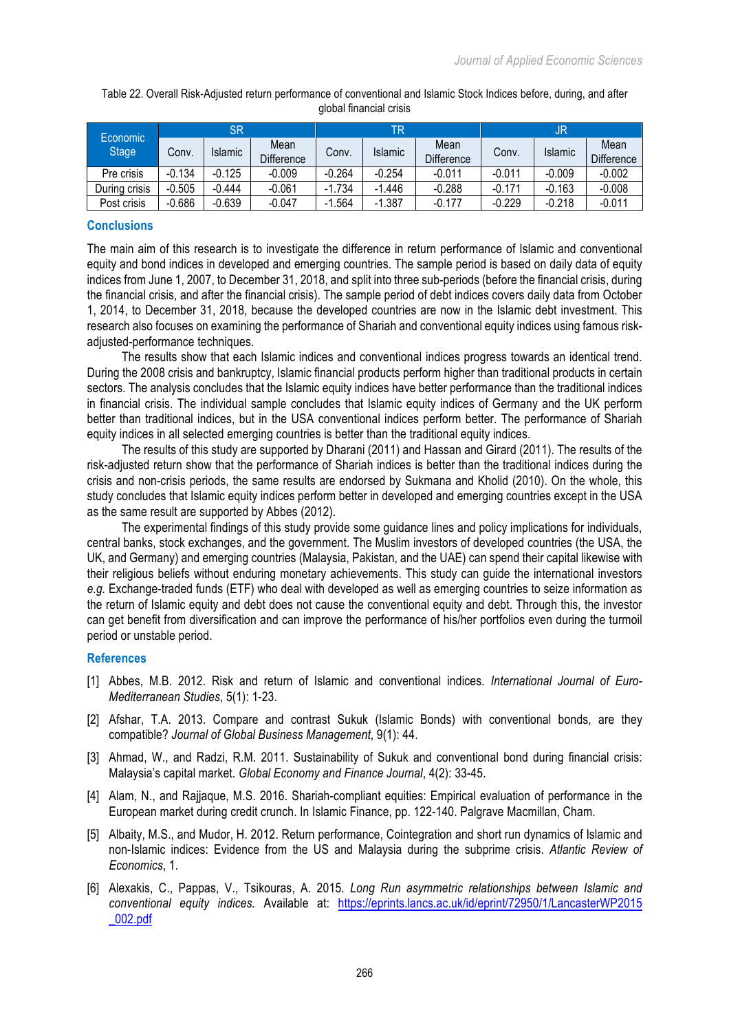| Economic<br>Stage <sup>1</sup> | 'SR      |                |                           | TR       |                |                    | JR       |          |                           |
|--------------------------------|----------|----------------|---------------------------|----------|----------------|--------------------|----------|----------|---------------------------|
|                                | Conv.    | <b>Islamic</b> | Mean<br><b>Difference</b> | Conv.    | <b>Islamic</b> | Mean<br>Difference | Conv.    | Islamic  | Mean<br><b>Difference</b> |
| Pre crisis                     | $-0.134$ | $-0.125$       | $-0.009$                  | $-0.264$ | $-0.254$       | $-0.011$           | $-0.011$ | -0.009   | $-0.002$                  |
| During crisis                  | $-0.505$ | $-0.444$       | $-0.061$                  | $-1.734$ | $-1.446$       | $-0.288$           | $-0.171$ | $-0.163$ | $-0.008$                  |
| Post crisis                    | $-0.686$ | $-0.639$       | $-0.047$                  | $-1.564$ | $-1.387$       | $-0.177$           | $-0.229$ | $-0.218$ | $-0.011$                  |

Table 22. Overall Risk-Adjusted return performance of conventional and Islamic Stock Indices before, during, and after global financial crisis

## **Conclusions**

The main aim of this research is to investigate the difference in return performance of Islamic and conventional equity and bond indices in developed and emerging countries. The sample period is based on daily data of equity indices from June 1, 2007, to December 31, 2018, and split into three sub-periods (before the financial crisis, during the financial crisis, and after the financial crisis). The sample period of debt indices covers daily data from October 1, 2014, to December 31, 2018, because the developed countries are now in the Islamic debt investment. This research also focuses on examining the performance of Shariah and conventional equity indices using famous riskadjusted-performance techniques.

The results show that each Islamic indices and conventional indices progress towards an identical trend. During the 2008 crisis and bankruptcy, Islamic financial products perform higher than traditional products in certain sectors. The analysis concludes that the Islamic equity indices have better performance than the traditional indices in financial crisis. The individual sample concludes that Islamic equity indices of Germany and the UK perform better than traditional indices, but in the USA conventional indices perform better. The performance of Shariah equity indices in all selected emerging countries is better than the traditional equity indices.

The results of this study are supported by Dharani (2011) and Hassan and Girard (2011). The results of the risk-adjusted return show that the performance of Shariah indices is better than the traditional indices during the crisis and non-crisis periods, the same results are endorsed by Sukmana and Kholid (2010). On the whole, this study concludes that Islamic equity indices perform better in developed and emerging countries except in the USA as the same result are supported by Abbes (2012).

The experimental findings of this study provide some guidance lines and policy implications for individuals, central banks, stock exchanges, and the government. The Muslim investors of developed countries (the USA, the UK, and Germany) and emerging countries (Malaysia, Pakistan, and the UAE) can spend their capital likewise with their religious beliefs without enduring monetary achievements. This study can guide the international investors *e.g.* Exchange-traded funds (ETF) who deal with developed as well as emerging countries to seize information as the return of Islamic equity and debt does not cause the conventional equity and debt. Through this, the investor can get benefit from diversification and can improve the performance of his/her portfolios even during the turmoil period or unstable period.

### **References**

- [1] Abbes, M.B. 2012. Risk and return of Islamic and conventional indices. *International Journal of Euro-Mediterranean Studies*, 5(1): 1-23.
- [2] Afshar, T.A. 2013. Compare and contrast Sukuk (Islamic Bonds) with conventional bonds, are they compatible? *Journal of Global Business Management*, 9(1): 44.
- [3] Ahmad, W., and Radzi, R.M. 2011. Sustainability of Sukuk and conventional bond during financial crisis: Malaysia's capital market. *Global Economy and Finance Journal*, 4(2): 33-45.
- [4] Alam, N., and Rajjaque, M.S. 2016. Shariah-compliant equities: Empirical evaluation of performance in the European market during credit crunch. In Islamic Finance, pp. 122-140. Palgrave Macmillan, Cham.
- [5] Albaity, M.S., and Mudor, H. 2012. Return performance, Cointegration and short run dynamics of Islamic and non-Islamic indices: Evidence from the US and Malaysia during the subprime crisis. *Atlantic Review of Economics*, 1.
- [6] Alexakis, C., Pappas, V., Tsikouras, A. 2015. *Long Run asymmetric relationships between Islamic and conventional equity indices.* Available at: https://eprints.lancs.ac.uk/id/eprint/72950/1/LancasterWP2015 \_002.pdf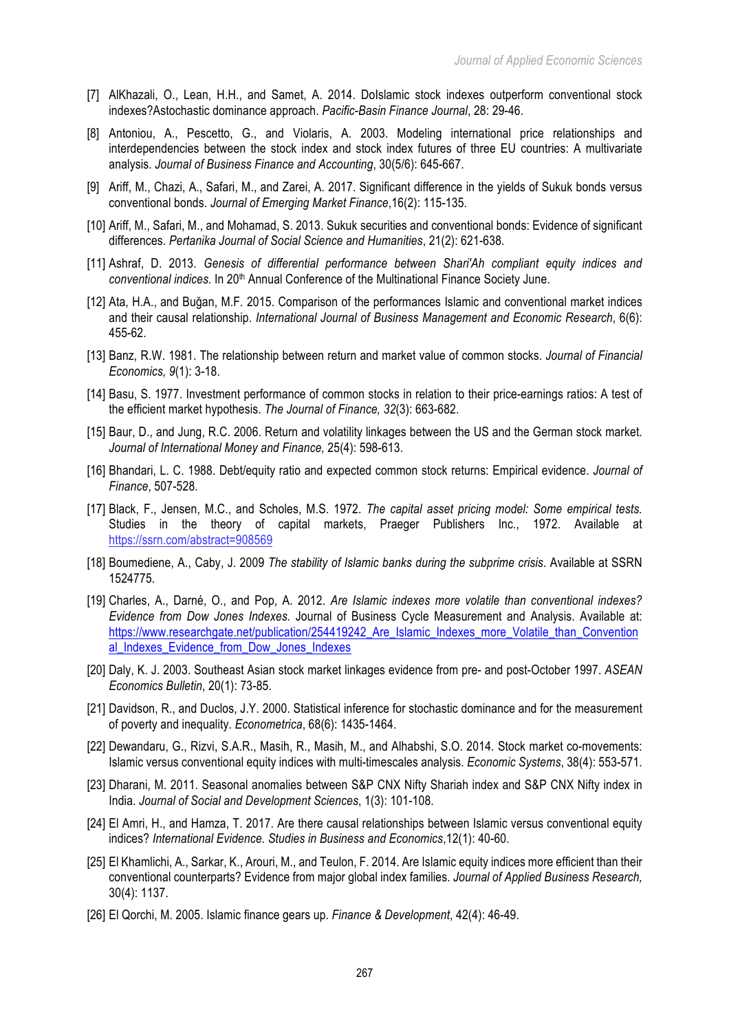- [7] AlKhazali, O., Lean, H.H., and Samet, A. 2014. DoIslamic stock indexes outperform conventional stock indexes?Astochastic dominance approach. *Pacific-Basin Finance Journal*, 28: 29-46.
- [8] Antoniou, A., Pescetto, G., and Violaris, A. 2003. Modeling international price relationships and interdependencies between the stock index and stock index futures of three EU countries: A multivariate analysis. *Journal of Business Finance and Accounting*, 30(5/6): 645-667.
- [9] Ariff, M., Chazi, A., Safari, M., and Zarei, A. 2017. Significant difference in the yields of Sukuk bonds versus conventional bonds. *Journal of Emerging Market Finance*,16(2): 115-135.
- [10] Ariff, M., Safari, M., and Mohamad, S. 2013. Sukuk securities and conventional bonds: Evidence of significant differences. *Pertanika Journal of Social Science and Humanities*, 21(2): 621-638.
- [11] Ashraf, D. 2013. *Genesis of differential performance between Shari'Ah compliant equity indices and conventional indices.* In 20th Annual Conference of the Multinational Finance Society June.
- [12] Ata, H.A., and Buğan, M.F. 2015. Comparison of the performances Islamic and conventional market indices and their causal relationship. *International Journal of Business Management and Economic Research*, 6(6): 455-62.
- [13] Banz, R.W. 1981. The relationship between return and market value of common stocks. *Journal of Financial Economics, 9*(1): 3-18.
- [14] Basu, S. 1977. Investment performance of common stocks in relation to their price-earnings ratios: A test of the efficient market hypothesis. *The Journal of Finance, 32*(3): 663-682.
- [15] Baur, D., and Jung, R.C. 2006. Return and volatility linkages between the US and the German stock market. *Journal of International Money and Finance,* 25(4): 598-613.
- [16] Bhandari, L. C. 1988. Debt/equity ratio and expected common stock returns: Empirical evidence. *Journal of Finance*, 507-528.
- [17] Black, F., Jensen, M.C., and Scholes, M.S. 1972. *The capital asset pricing model: Some empirical tests.*  Studies in the theory of capital markets, Praeger Publishers Inc., 1972. Available https://ssrn.com/abstract=908569
- [18] Boumediene, A., Caby, J. 2009 *The stability of Islamic banks during the subprime crisis*. Available at SSRN 1524775.
- [19] Charles, A., Darné, O., and Pop, A. 2012. *Are Islamic indexes more volatile than conventional indexes? Evidence from Dow Jones Indexes.* Journal of Business Cycle Measurement and Analysis. Available at: https://www.researchgate.net/publication/254419242\_Are\_Islamic\_Indexes\_more\_Volatile\_than\_Convention al Indexes Evidence from Dow Jones Indexes
- [20] Daly, K. J. 2003. Southeast Asian stock market linkages evidence from pre- and post-October 1997. *ASEAN Economics Bulletin*, 20(1): 73-85.
- [21] Davidson, R., and Duclos, J.Y. 2000. Statistical inference for stochastic dominance and for the measurement of poverty and inequality. *Econometrica*, 68(6): 1435-1464.
- [22] Dewandaru, G., Rizvi, S.A.R., Masih, R., Masih, M., and Alhabshi, S.O. 2014. Stock market co-movements: Islamic versus conventional equity indices with multi-timescales analysis. *Economic Systems*, 38(4): 553-571.
- [23] Dharani, M. 2011. Seasonal anomalies between S&P CNX Nifty Shariah index and S&P CNX Nifty index in India. *Journal of Social and Development Sciences*, 1(3): 101-108.
- [24] El Amri, H., and Hamza, T. 2017. Are there causal relationships between Islamic versus conventional equity indices? *International Evidence. Studies in Business and Economics*,12(1): 40-60.
- [25] El Khamlichi, A., Sarkar, K., Arouri, M., and Teulon, F. 2014. Are Islamic equity indices more efficient than their conventional counterparts? Evidence from major global index families. *Journal of Applied Business Research,* 30(4): 1137.
- [26] El Qorchi, M. 2005. Islamic finance gears up. *Finance & Development*, 42(4): 46-49.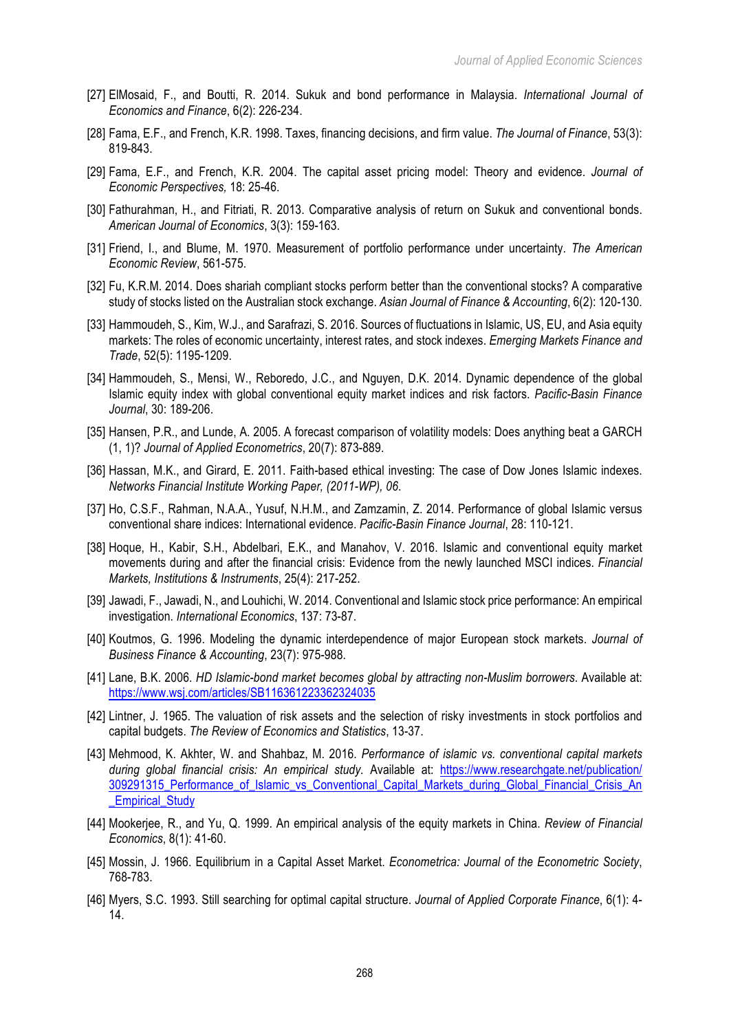- [27] ElMosaid, F., and Boutti, R. 2014. Sukuk and bond performance in Malaysia. *International Journal of Economics and Finance*, 6(2): 226-234.
- [28] Fama, E.F., and French, K.R. 1998. Taxes, financing decisions, and firm value. *The Journal of Finance*, 53(3): 819-843.
- [29] Fama, E.F., and French, K.R. 2004. The capital asset pricing model: Theory and evidence. *Journal of Economic Perspectives,* 18: 25-46.
- [30] Fathurahman, H., and Fitriati, R. 2013. Comparative analysis of return on Sukuk and conventional bonds. *American Journal of Economics*, 3(3): 159-163.
- [31] Friend, I., and Blume, M. 1970. Measurement of portfolio performance under uncertainty. *The American Economic Review*, 561-575.
- [32] Fu, K.R.M. 2014. Does shariah compliant stocks perform better than the conventional stocks? A comparative study of stocks listed on the Australian stock exchange. *Asian Journal of Finance & Accounting*, 6(2): 120-130.
- [33] Hammoudeh, S., Kim, W.J., and Sarafrazi, S. 2016. Sources of fluctuations in Islamic, US, EU, and Asia equity markets: The roles of economic uncertainty, interest rates, and stock indexes. *Emerging Markets Finance and Trade*, 52(5): 1195-1209.
- [34] Hammoudeh, S., Mensi, W., Reboredo, J.C., and Nguyen, D.K. 2014. Dynamic dependence of the global Islamic equity index with global conventional equity market indices and risk factors. *Pacific-Basin Finance Journal*, 30: 189-206.
- [35] Hansen, P.R., and Lunde, A. 2005. A forecast comparison of volatility models: Does anything beat a GARCH (1, 1)? *Journal of Applied Econometrics*, 20(7): 873-889.
- [36] Hassan, M.K., and Girard, E. 2011. Faith-based ethical investing: The case of Dow Jones Islamic indexes. *Networks Financial Institute Working Paper, (2011-WP), 06*.
- [37] Ho, C.S.F., Rahman, N.A.A., Yusuf, N.H.M., and Zamzamin, Z. 2014. Performance of global Islamic versus conventional share indices: International evidence. *Pacific-Basin Finance Journal*, 28: 110-121.
- [38] Hoque, H., Kabir, S.H., Abdelbari, E.K., and Manahov, V. 2016. Islamic and conventional equity market movements during and after the financial crisis: Evidence from the newly launched MSCI indices. *Financial Markets, Institutions & Instruments*, 25(4): 217-252.
- [39] Jawadi, F., Jawadi, N., and Louhichi, W. 2014. Conventional and Islamic stock price performance: An empirical investigation. *International Economics*, 137: 73-87.
- [40] Koutmos, G. 1996. Modeling the dynamic interdependence of major European stock markets. *Journal of Business Finance & Accounting*, 23(7): 975-988.
- [41] Lane, B.K. 2006. *HD Islamic-bond market becomes global by attracting non-Muslim borrowers*. Available at: https://www.wsj.com/articles/SB116361223362324035
- [42] Lintner, J. 1965. The valuation of risk assets and the selection of risky investments in stock portfolios and capital budgets. *The Review of Economics and Statistics*, 13-37.
- [43] Mehmood, K. Akhter, W. and Shahbaz, M. 2016. *Performance of islamic vs. conventional capital markets during global financial crisis: An empirical study.* Available at: https://www.researchgate.net/publication/ 309291315\_Performance\_of\_Islamic\_vs\_Conventional\_Capital\_Markets\_during\_Global\_Financial\_Crisis\_An Empirical Study
- [44] Mookerjee, R., and Yu, Q. 1999. An empirical analysis of the equity markets in China. *Review of Financial Economics*, 8(1): 41-60.
- [45] Mossin, J. 1966. Equilibrium in a Capital Asset Market. *Econometrica: Journal of the Econometric Society*, 768-783.
- [46] Myers, S.C. 1993. Still searching for optimal capital structure. *Journal of Applied Corporate Finance*, 6(1): 4- 14.